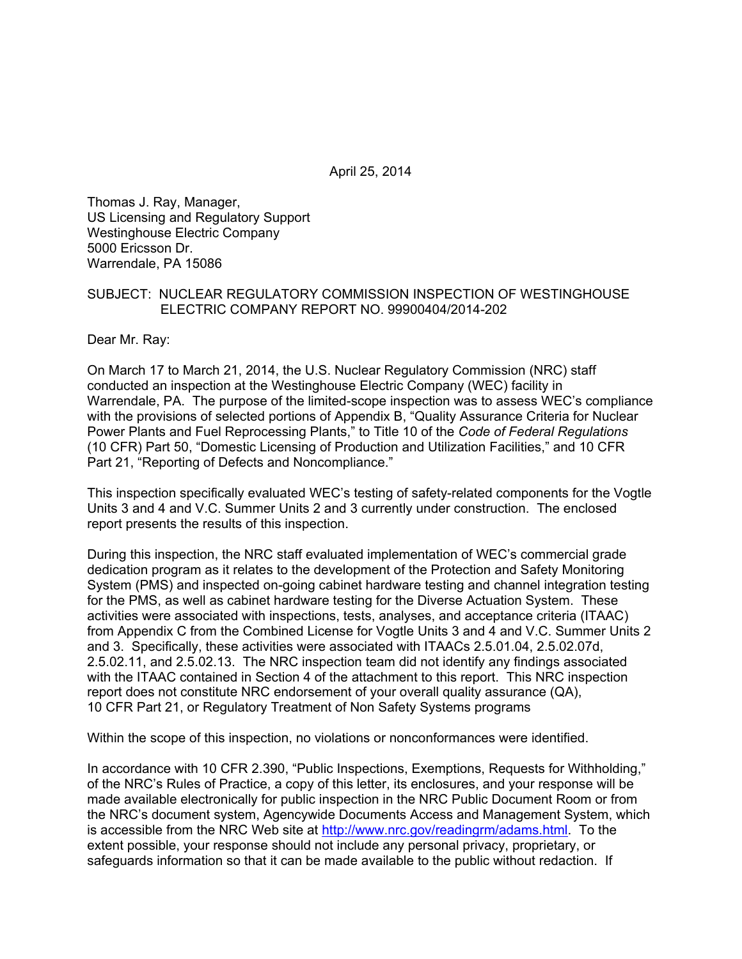April 25, 2014

Thomas J. Ray, Manager, US Licensing and Regulatory Support Westinghouse Electric Company 5000 Ericsson Dr. Warrendale, PA 15086

### SUBJECT: NUCLEAR REGULATORY COMMISSION INSPECTION OF WESTINGHOUSE ELECTRIC COMPANY REPORT NO. 99900404/2014-202

Dear Mr. Ray:

On March 17 to March 21, 2014, the U.S. Nuclear Regulatory Commission (NRC) staff conducted an inspection at the Westinghouse Electric Company (WEC) facility in Warrendale, PA. The purpose of the limited-scope inspection was to assess WEC's compliance with the provisions of selected portions of Appendix B, "Quality Assurance Criteria for Nuclear Power Plants and Fuel Reprocessing Plants," to Title 10 of the *Code of Federal Regulations* (10 CFR) Part 50, "Domestic Licensing of Production and Utilization Facilities," and 10 CFR Part 21, "Reporting of Defects and Noncompliance."

This inspection specifically evaluated WEC's testing of safety-related components for the Vogtle Units 3 and 4 and V.C. Summer Units 2 and 3 currently under construction. The enclosed report presents the results of this inspection.

During this inspection, the NRC staff evaluated implementation of WEC's commercial grade dedication program as it relates to the development of the Protection and Safety Monitoring System (PMS) and inspected on-going cabinet hardware testing and channel integration testing for the PMS, as well as cabinet hardware testing for the Diverse Actuation System. These activities were associated with inspections, tests, analyses, and acceptance criteria (ITAAC) from Appendix C from the Combined License for Vogtle Units 3 and 4 and V.C. Summer Units 2 and 3. Specifically, these activities were associated with ITAACs 2.5.01.04, 2.5.02.07d, 2.5.02.11, and 2.5.02.13. The NRC inspection team did not identify any findings associated with the ITAAC contained in Section 4 of the attachment to this report. This NRC inspection report does not constitute NRC endorsement of your overall quality assurance (QA), 10 CFR Part 21, or Regulatory Treatment of Non Safety Systems programs

Within the scope of this inspection, no violations or nonconformances were identified.

In accordance with 10 CFR 2.390, "Public Inspections, Exemptions, Requests for Withholding," of the NRC's Rules of Practice, a copy of this letter, its enclosures, and your response will be made available electronically for public inspection in the NRC Public Document Room or from the NRC's document system, Agencywide Documents Access and Management System, which is accessible from the NRC Web site at http://www.nrc.gov/readingrm/adams.html. To the extent possible, your response should not include any personal privacy, proprietary, or safeguards information so that it can be made available to the public without redaction. If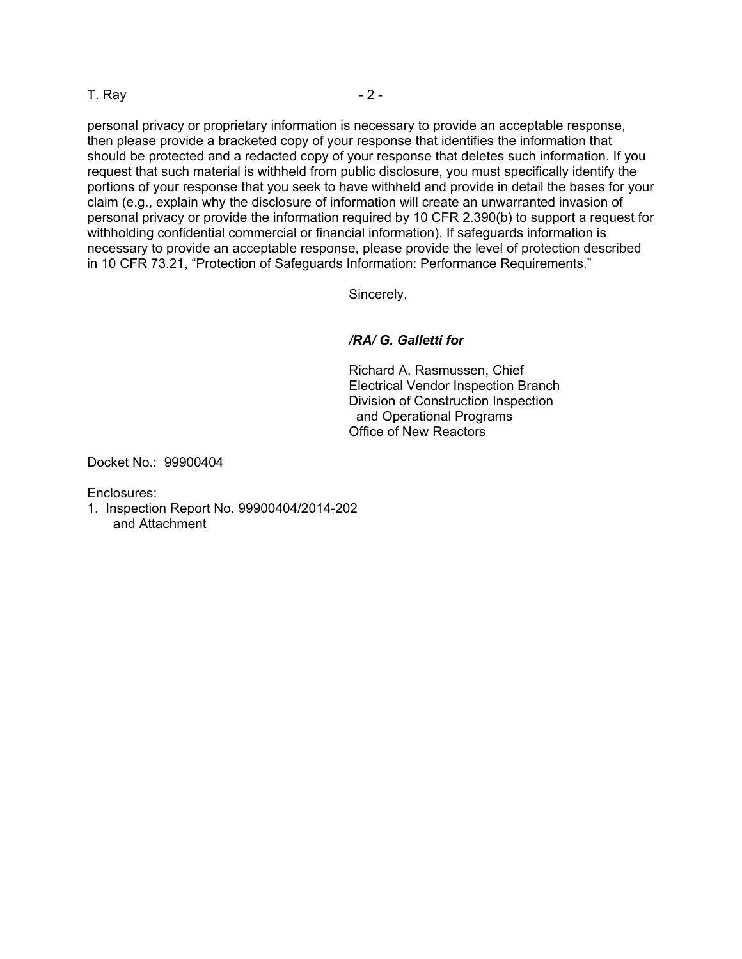T. Ray  $-2$  -

personal privacy or proprietary information is necessary to provide an acceptable response, then please provide a bracketed copy of your response that identifies the information that should be protected and a redacted copy of your response that deletes such information. If you request that such material is withheld from public disclosure, you must specifically identify the portions of your response that you seek to have withheld and provide in detail the bases for your claim (e.g., explain why the disclosure of information will create an unwarranted invasion of personal privacy or provide the information required by 10 CFR 2.390(b) to support a request for withholding confidential commercial or financial information). If safeguards information is necessary to provide an acceptable response, please provide the level of protection described in 10 CFR 73.21, "Protection of Safeguards Information: Performance Requirements."

Sincerely,

## */RA/ G. Galletti for*

Richard A. Rasmussen, Chief Electrical Vendor Inspection Branch Division of Construction Inspection and Operational Programs Office of New Reactors

Docket No.: 99900404

Enclosures:

1. Inspection Report No. 99900404/2014-202 and Attachment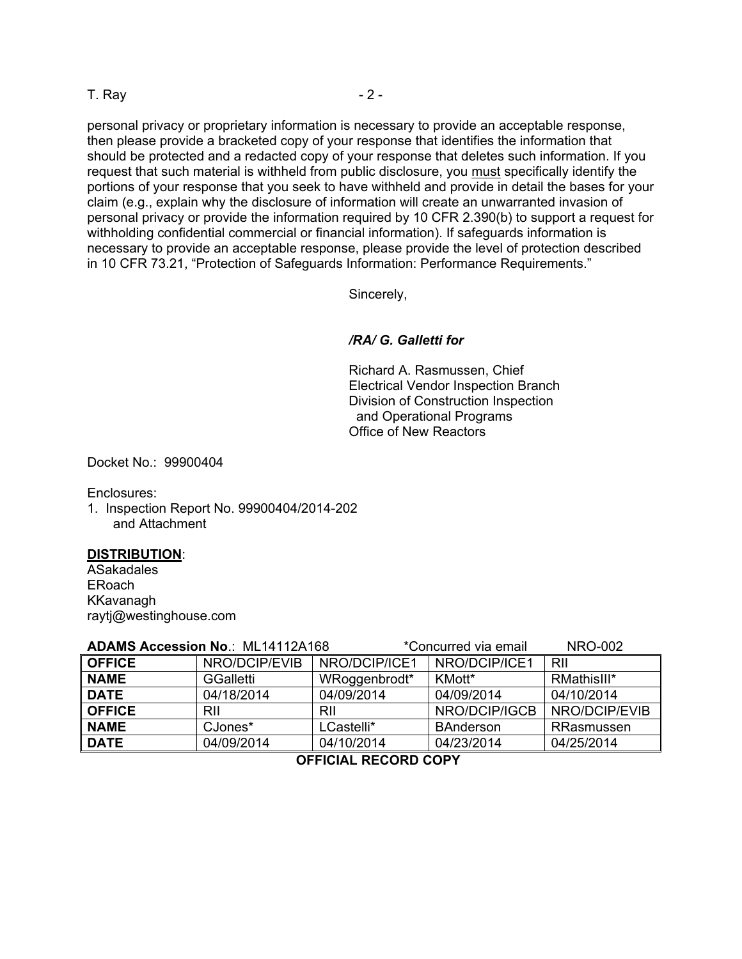T. Ray  $-2$  -

personal privacy or proprietary information is necessary to provide an acceptable response, then please provide a bracketed copy of your response that identifies the information that should be protected and a redacted copy of your response that deletes such information. If you request that such material is withheld from public disclosure, you must specifically identify the portions of your response that you seek to have withheld and provide in detail the bases for your claim (e.g., explain why the disclosure of information will create an unwarranted invasion of personal privacy or provide the information required by 10 CFR 2.390(b) to support a request for withholding confidential commercial or financial information). If safeguards information is necessary to provide an acceptable response, please provide the level of protection described in 10 CFR 73.21, "Protection of Safeguards Information: Performance Requirements."

Sincerely,

### */RA/ G. Galletti for*

Richard A. Rasmussen, Chief Electrical Vendor Inspection Branch Division of Construction Inspection and Operational Programs Office of New Reactors

Docket No.: 99900404

Enclosures:

1. Inspection Report No. 99900404/2014-202 and Attachment

#### **DISTRIBUTION**:

ASakadales ERoach KKavanagh raytj@westinghouse.com

| <b>ADAMS Accession No.: ML14112A168</b> |                  |               | *Concurred via email | <b>NRO-002</b> |
|-----------------------------------------|------------------|---------------|----------------------|----------------|
| <b>OFFICE</b>                           | NRO/DCIP/EVIB    | NRO/DCIP/ICE1 | NRO/DCIP/ICE1        | RII            |
| <b>NAME</b>                             | <b>GGalletti</b> | WRoggenbrodt* | KMott*               | RMathisIII*    |
| <b>DATE</b>                             | 04/18/2014       | 04/09/2014    | 04/09/2014           | 04/10/2014     |
| <b>OFFICE</b>                           | RII              | RII           | NRO/DCIP/IGCB        | NRO/DCIP/EVIB  |
| <b>NAME</b>                             | CJones*          | LCastelli*    | <b>BAnderson</b>     | RRasmussen     |
| <b>DATE</b>                             | 04/09/2014       | 04/10/2014    | 04/23/2014           | 04/25/2014     |
| AFFIAILI BEAABB AABV                    |                  |               |                      |                |

 **OFFICIAL RECORD COPY**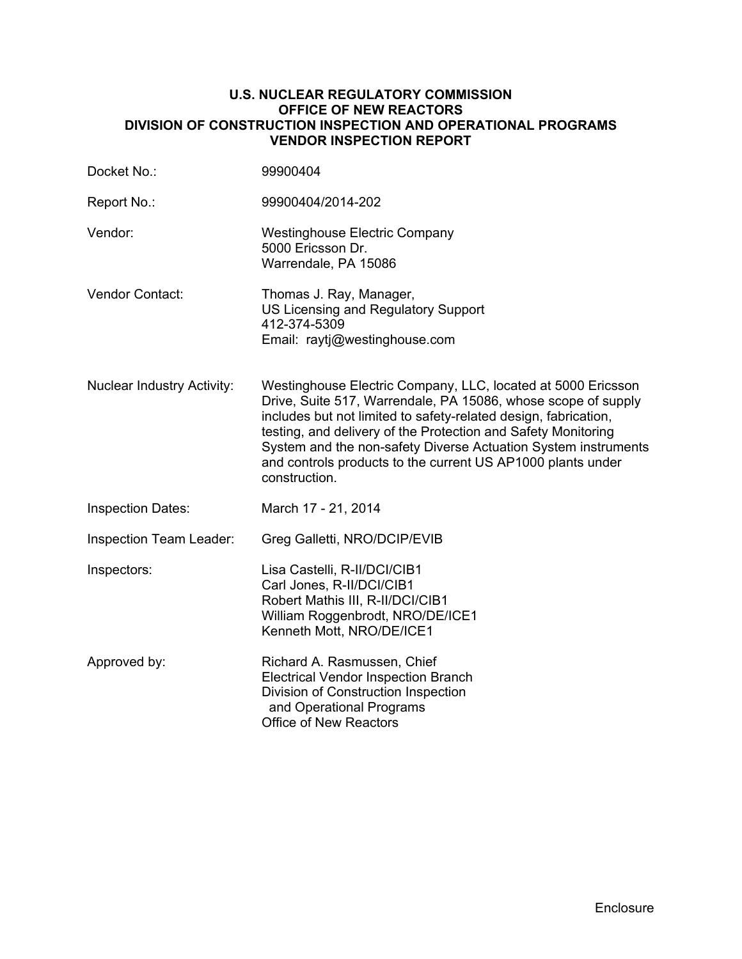### **U.S. NUCLEAR REGULATORY COMMISSION OFFICE OF NEW REACTORS DIVISION OF CONSTRUCTION INSPECTION AND OPERATIONAL PROGRAMS VENDOR INSPECTION REPORT**

| Docket No.:                       | 99900404                                                                                                                                                                                                                                                                                                                                                                                                            |
|-----------------------------------|---------------------------------------------------------------------------------------------------------------------------------------------------------------------------------------------------------------------------------------------------------------------------------------------------------------------------------------------------------------------------------------------------------------------|
| Report No.:                       | 99900404/2014-202                                                                                                                                                                                                                                                                                                                                                                                                   |
| Vendor:                           | <b>Westinghouse Electric Company</b><br>5000 Ericsson Dr.<br>Warrendale, PA 15086                                                                                                                                                                                                                                                                                                                                   |
| Vendor Contact:                   | Thomas J. Ray, Manager,<br>US Licensing and Regulatory Support<br>412-374-5309<br>Email: raytj@westinghouse.com                                                                                                                                                                                                                                                                                                     |
| <b>Nuclear Industry Activity:</b> | Westinghouse Electric Company, LLC, located at 5000 Ericsson<br>Drive, Suite 517, Warrendale, PA 15086, whose scope of supply<br>includes but not limited to safety-related design, fabrication,<br>testing, and delivery of the Protection and Safety Monitoring<br>System and the non-safety Diverse Actuation System instruments<br>and controls products to the current US AP1000 plants under<br>construction. |
| <b>Inspection Dates:</b>          | March 17 - 21, 2014                                                                                                                                                                                                                                                                                                                                                                                                 |
| Inspection Team Leader:           | Greg Galletti, NRO/DCIP/EVIB                                                                                                                                                                                                                                                                                                                                                                                        |
| Inspectors:                       | Lisa Castelli, R-II/DCI/CIB1<br>Carl Jones, R-II/DCI/CIB1<br>Robert Mathis III, R-II/DCI/CIB1<br>William Roggenbrodt, NRO/DE/ICE1<br>Kenneth Mott, NRO/DE/ICE1                                                                                                                                                                                                                                                      |
| Approved by:                      | Richard A. Rasmussen, Chief<br><b>Electrical Vendor Inspection Branch</b><br>Division of Construction Inspection<br>and Operational Programs<br><b>Office of New Reactors</b>                                                                                                                                                                                                                                       |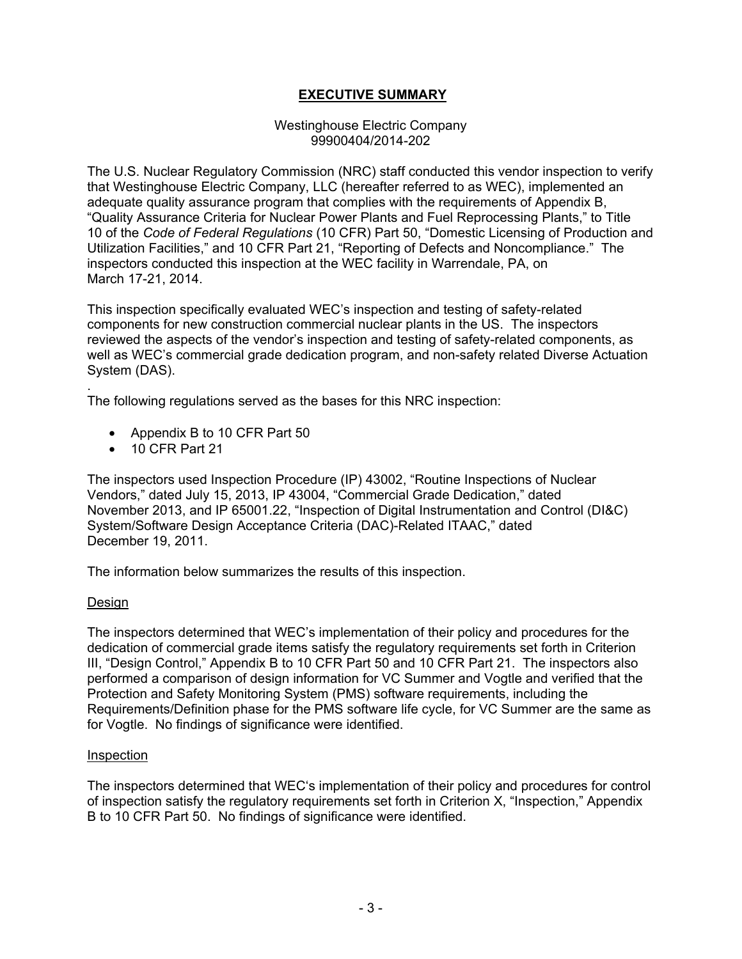# **EXECUTIVE SUMMARY**

### Westinghouse Electric Company 99900404/2014-202

The U.S. Nuclear Regulatory Commission (NRC) staff conducted this vendor inspection to verify that Westinghouse Electric Company, LLC (hereafter referred to as WEC), implemented an adequate quality assurance program that complies with the requirements of Appendix B, "Quality Assurance Criteria for Nuclear Power Plants and Fuel Reprocessing Plants," to Title 10 of the *Code of Federal Regulations* (10 CFR) Part 50, "Domestic Licensing of Production and Utilization Facilities," and 10 CFR Part 21, "Reporting of Defects and Noncompliance." The inspectors conducted this inspection at the WEC facility in Warrendale, PA, on March 17-21, 2014.

This inspection specifically evaluated WEC's inspection and testing of safety-related components for new construction commercial nuclear plants in the US. The inspectors reviewed the aspects of the vendor's inspection and testing of safety-related components, as well as WEC's commercial grade dedication program, and non-safety related Diverse Actuation System (DAS).

. The following regulations served as the bases for this NRC inspection:

- Appendix B to 10 CFR Part 50
- 10 CFR Part 21

The inspectors used Inspection Procedure (IP) 43002, "Routine Inspections of Nuclear Vendors," dated July 15, 2013, IP 43004, "Commercial Grade Dedication," dated November 2013, and IP 65001.22, "Inspection of Digital Instrumentation and Control (DI&C) System/Software Design Acceptance Criteria (DAC)-Related ITAAC," dated December 19, 2011.

The information below summarizes the results of this inspection.

## Design

The inspectors determined that WEC's implementation of their policy and procedures for the dedication of commercial grade items satisfy the regulatory requirements set forth in Criterion III, "Design Control," Appendix B to 10 CFR Part 50 and 10 CFR Part 21. The inspectors also performed a comparison of design information for VC Summer and Vogtle and verified that the Protection and Safety Monitoring System (PMS) software requirements, including the Requirements/Definition phase for the PMS software life cycle, for VC Summer are the same as for Vogtle. No findings of significance were identified.

#### Inspection

The inspectors determined that WEC's implementation of their policy and procedures for control of inspection satisfy the regulatory requirements set forth in Criterion X, "Inspection," Appendix B to 10 CFR Part 50. No findings of significance were identified.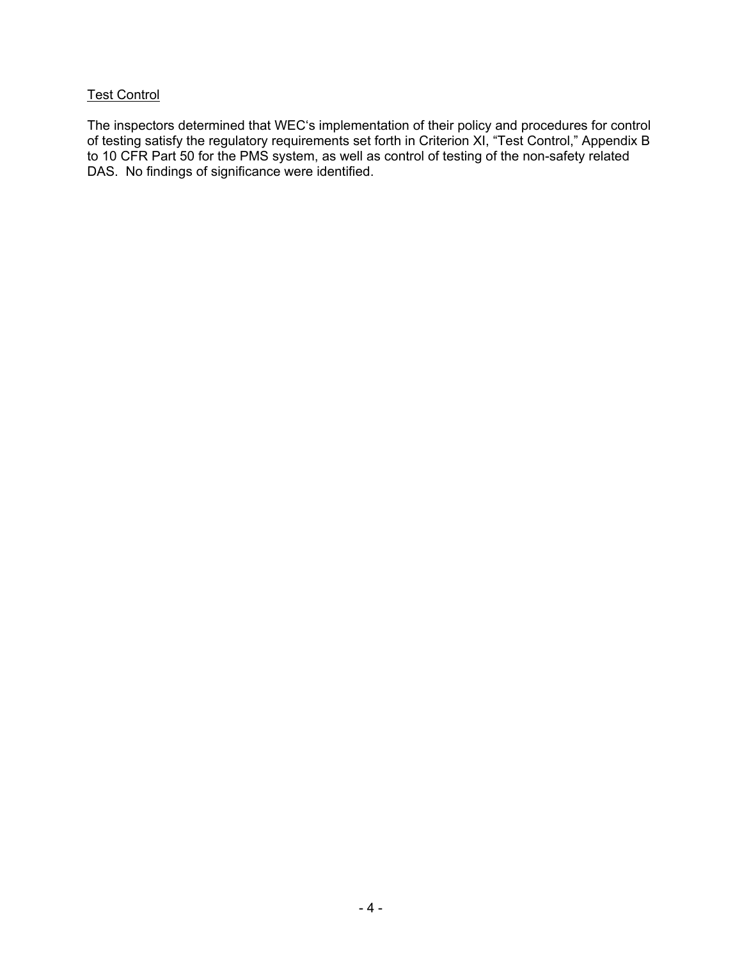# **Test Control**

The inspectors determined that WEC's implementation of their policy and procedures for control of testing satisfy the regulatory requirements set forth in Criterion XI, "Test Control," Appendix B to 10 CFR Part 50 for the PMS system, as well as control of testing of the non-safety related DAS. No findings of significance were identified.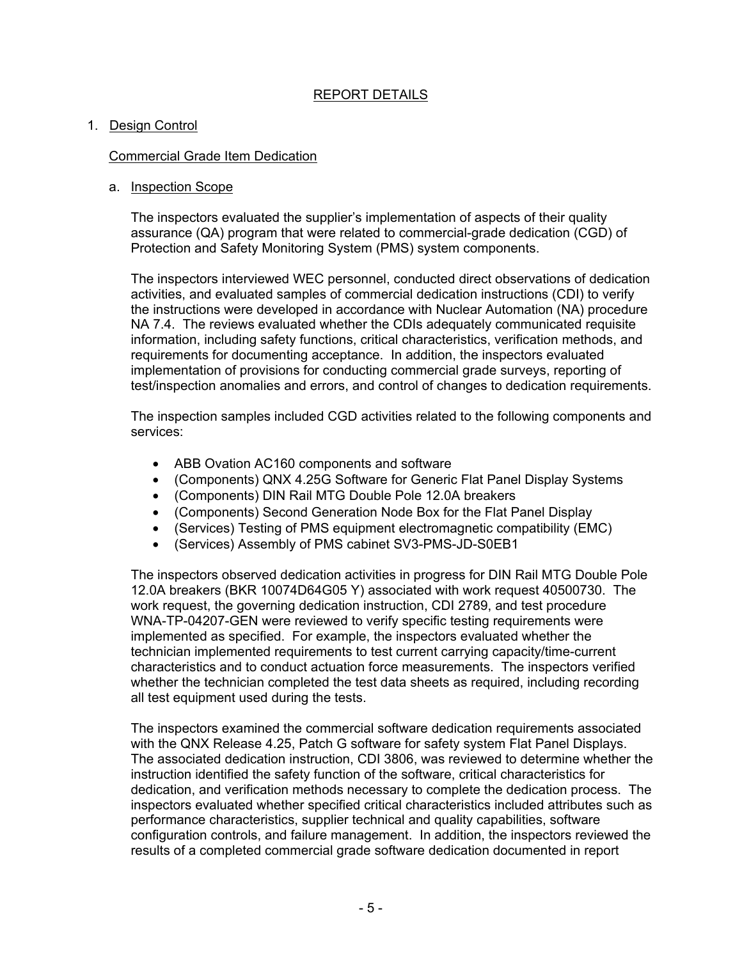## REPORT DETAILS

### 1. Design Control

### Commercial Grade Item Dedication

### a. Inspection Scope

The inspectors evaluated the supplier's implementation of aspects of their quality assurance (QA) program that were related to commercial-grade dedication (CGD) of Protection and Safety Monitoring System (PMS) system components.

The inspectors interviewed WEC personnel, conducted direct observations of dedication activities, and evaluated samples of commercial dedication instructions (CDI) to verify the instructions were developed in accordance with Nuclear Automation (NA) procedure NA 7.4. The reviews evaluated whether the CDIs adequately communicated requisite information, including safety functions, critical characteristics, verification methods, and requirements for documenting acceptance. In addition, the inspectors evaluated implementation of provisions for conducting commercial grade surveys, reporting of test/inspection anomalies and errors, and control of changes to dedication requirements.

The inspection samples included CGD activities related to the following components and services:

- ABB Ovation AC160 components and software
- (Components) QNX 4.25G Software for Generic Flat Panel Display Systems
- (Components) DIN Rail MTG Double Pole 12.0A breakers
- (Components) Second Generation Node Box for the Flat Panel Display
- (Services) Testing of PMS equipment electromagnetic compatibility (EMC)
- (Services) Assembly of PMS cabinet SV3-PMS-JD-S0EB1

The inspectors observed dedication activities in progress for DIN Rail MTG Double Pole 12.0A breakers (BKR 10074D64G05 Y) associated with work request 40500730. The work request, the governing dedication instruction, CDI 2789, and test procedure WNA-TP-04207-GEN were reviewed to verify specific testing requirements were implemented as specified. For example, the inspectors evaluated whether the technician implemented requirements to test current carrying capacity/time-current characteristics and to conduct actuation force measurements. The inspectors verified whether the technician completed the test data sheets as required, including recording all test equipment used during the tests.

The inspectors examined the commercial software dedication requirements associated with the QNX Release 4.25, Patch G software for safety system Flat Panel Displays. The associated dedication instruction, CDI 3806, was reviewed to determine whether the instruction identified the safety function of the software, critical characteristics for dedication, and verification methods necessary to complete the dedication process. The inspectors evaluated whether specified critical characteristics included attributes such as performance characteristics, supplier technical and quality capabilities, software configuration controls, and failure management. In addition, the inspectors reviewed the results of a completed commercial grade software dedication documented in report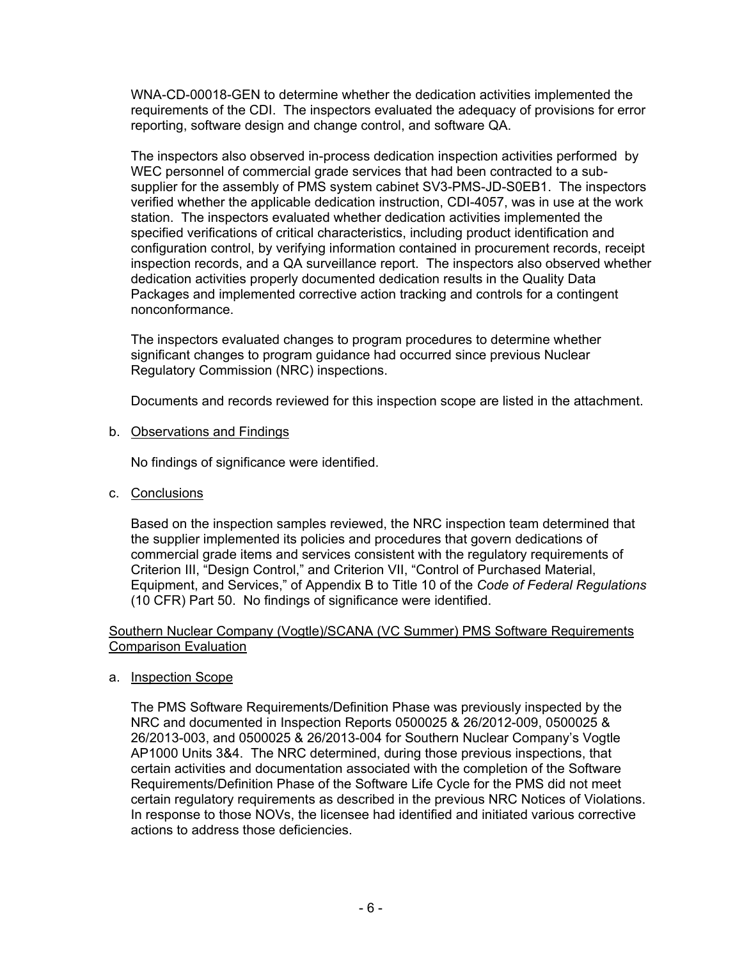WNA-CD-00018-GEN to determine whether the dedication activities implemented the requirements of the CDI. The inspectors evaluated the adequacy of provisions for error reporting, software design and change control, and software QA.

The inspectors also observed in-process dedication inspection activities performed by WEC personnel of commercial grade services that had been contracted to a subsupplier for the assembly of PMS system cabinet SV3-PMS-JD-S0EB1. The inspectors verified whether the applicable dedication instruction, CDI-4057, was in use at the work station. The inspectors evaluated whether dedication activities implemented the specified verifications of critical characteristics, including product identification and configuration control, by verifying information contained in procurement records, receipt inspection records, and a QA surveillance report. The inspectors also observed whether dedication activities properly documented dedication results in the Quality Data Packages and implemented corrective action tracking and controls for a contingent nonconformance.

The inspectors evaluated changes to program procedures to determine whether significant changes to program guidance had occurred since previous Nuclear Regulatory Commission (NRC) inspections.

Documents and records reviewed for this inspection scope are listed in the attachment.

b. Observations and Findings

No findings of significance were identified.

c. Conclusions

Based on the inspection samples reviewed, the NRC inspection team determined that the supplier implemented its policies and procedures that govern dedications of commercial grade items and services consistent with the regulatory requirements of Criterion III, "Design Control," and Criterion VII, "Control of Purchased Material, Equipment, and Services," of Appendix B to Title 10 of the *Code of Federal Regulations* (10 CFR) Part 50. No findings of significance were identified.

### Southern Nuclear Company (Vogtle)/SCANA (VC Summer) PMS Software Requirements Comparison Evaluation

a. Inspection Scope

The PMS Software Requirements/Definition Phase was previously inspected by the NRC and documented in Inspection Reports 0500025 & 26/2012-009, 0500025 & 26/2013-003, and 0500025 & 26/2013-004 for Southern Nuclear Company's Vogtle AP1000 Units 3&4. The NRC determined, during those previous inspections, that certain activities and documentation associated with the completion of the Software Requirements/Definition Phase of the Software Life Cycle for the PMS did not meet certain regulatory requirements as described in the previous NRC Notices of Violations. In response to those NOVs, the licensee had identified and initiated various corrective actions to address those deficiencies.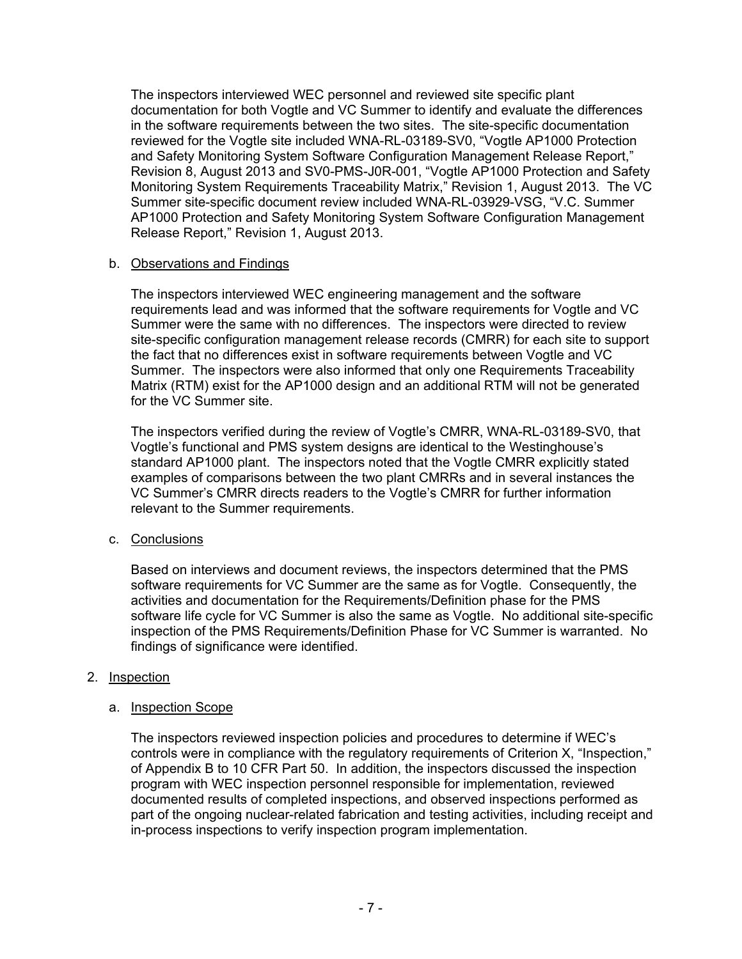The inspectors interviewed WEC personnel and reviewed site specific plant documentation for both Vogtle and VC Summer to identify and evaluate the differences in the software requirements between the two sites. The site-specific documentation reviewed for the Vogtle site included WNA-RL-03189-SV0, "Vogtle AP1000 Protection and Safety Monitoring System Software Configuration Management Release Report," Revision 8, August 2013 and SV0-PMS-J0R-001, "Vogtle AP1000 Protection and Safety Monitoring System Requirements Traceability Matrix," Revision 1, August 2013. The VC Summer site-specific document review included WNA-RL-03929-VSG, "V.C. Summer AP1000 Protection and Safety Monitoring System Software Configuration Management Release Report," Revision 1, August 2013.

## b. Observations and Findings

The inspectors interviewed WEC engineering management and the software requirements lead and was informed that the software requirements for Vogtle and VC Summer were the same with no differences. The inspectors were directed to review site-specific configuration management release records (CMRR) for each site to support the fact that no differences exist in software requirements between Vogtle and VC Summer. The inspectors were also informed that only one Requirements Traceability Matrix (RTM) exist for the AP1000 design and an additional RTM will not be generated for the VC Summer site.

The inspectors verified during the review of Vogtle's CMRR, WNA-RL-03189-SV0, that Vogtle's functional and PMS system designs are identical to the Westinghouse's standard AP1000 plant. The inspectors noted that the Vogtle CMRR explicitly stated examples of comparisons between the two plant CMRRs and in several instances the VC Summer's CMRR directs readers to the Vogtle's CMRR for further information relevant to the Summer requirements.

## c. Conclusions

Based on interviews and document reviews, the inspectors determined that the PMS software requirements for VC Summer are the same as for Vogtle. Consequently, the activities and documentation for the Requirements/Definition phase for the PMS software life cycle for VC Summer is also the same as Vogtle. No additional site-specific inspection of the PMS Requirements/Definition Phase for VC Summer is warranted. No findings of significance were identified.

## 2. Inspection

## a. Inspection Scope

The inspectors reviewed inspection policies and procedures to determine if WEC's controls were in compliance with the regulatory requirements of Criterion X, "Inspection," of Appendix B to 10 CFR Part 50. In addition, the inspectors discussed the inspection program with WEC inspection personnel responsible for implementation, reviewed documented results of completed inspections, and observed inspections performed as part of the ongoing nuclear-related fabrication and testing activities, including receipt and in-process inspections to verify inspection program implementation.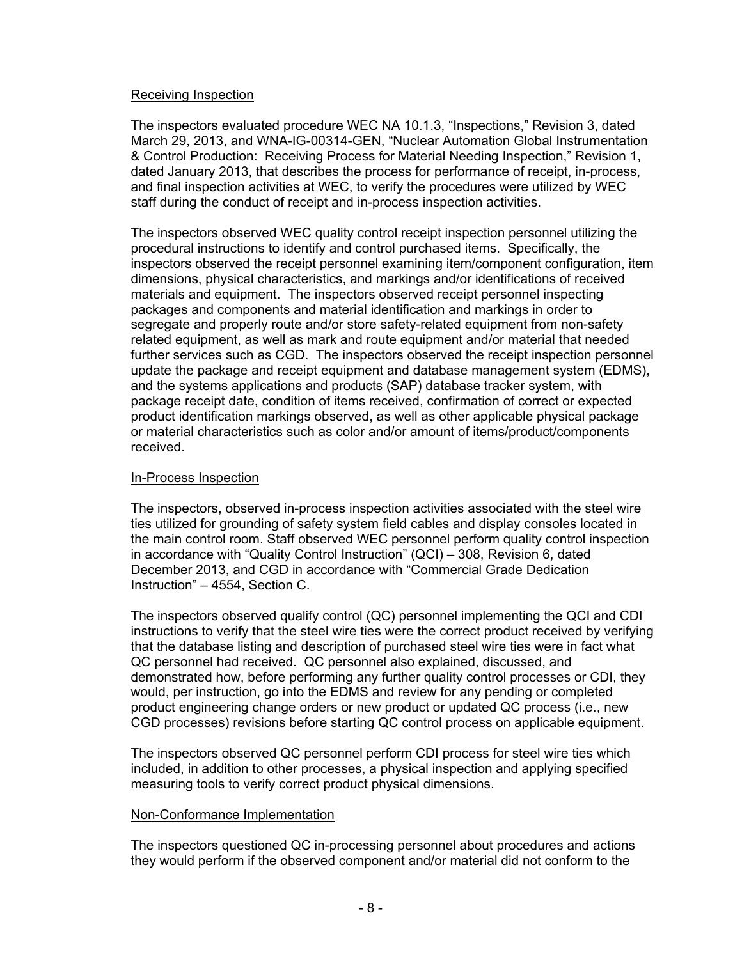### Receiving Inspection

The inspectors evaluated procedure WEC NA 10.1.3, "Inspections," Revision 3, dated March 29, 2013, and WNA-IG-00314-GEN, "Nuclear Automation Global Instrumentation & Control Production: Receiving Process for Material Needing Inspection," Revision 1, dated January 2013, that describes the process for performance of receipt, in-process, and final inspection activities at WEC, to verify the procedures were utilized by WEC staff during the conduct of receipt and in-process inspection activities.

The inspectors observed WEC quality control receipt inspection personnel utilizing the procedural instructions to identify and control purchased items. Specifically, the inspectors observed the receipt personnel examining item/component configuration, item dimensions, physical characteristics, and markings and/or identifications of received materials and equipment. The inspectors observed receipt personnel inspecting packages and components and material identification and markings in order to segregate and properly route and/or store safety-related equipment from non-safety related equipment, as well as mark and route equipment and/or material that needed further services such as CGD. The inspectors observed the receipt inspection personnel update the package and receipt equipment and database management system (EDMS), and the systems applications and products (SAP) database tracker system, with package receipt date, condition of items received, confirmation of correct or expected product identification markings observed, as well as other applicable physical package or material characteristics such as color and/or amount of items/product/components received.

### In-Process Inspection

The inspectors, observed in-process inspection activities associated with the steel wire ties utilized for grounding of safety system field cables and display consoles located in the main control room. Staff observed WEC personnel perform quality control inspection in accordance with "Quality Control Instruction" (QCI) – 308, Revision 6, dated December 2013, and CGD in accordance with "Commercial Grade Dedication Instruction" – 4554, Section C.

The inspectors observed qualify control (QC) personnel implementing the QCI and CDI instructions to verify that the steel wire ties were the correct product received by verifying that the database listing and description of purchased steel wire ties were in fact what QC personnel had received. QC personnel also explained, discussed, and demonstrated how, before performing any further quality control processes or CDI, they would, per instruction, go into the EDMS and review for any pending or completed product engineering change orders or new product or updated QC process (i.e., new CGD processes) revisions before starting QC control process on applicable equipment.

The inspectors observed QC personnel perform CDI process for steel wire ties which included, in addition to other processes, a physical inspection and applying specified measuring tools to verify correct product physical dimensions.

#### Non-Conformance Implementation

The inspectors questioned QC in-processing personnel about procedures and actions they would perform if the observed component and/or material did not conform to the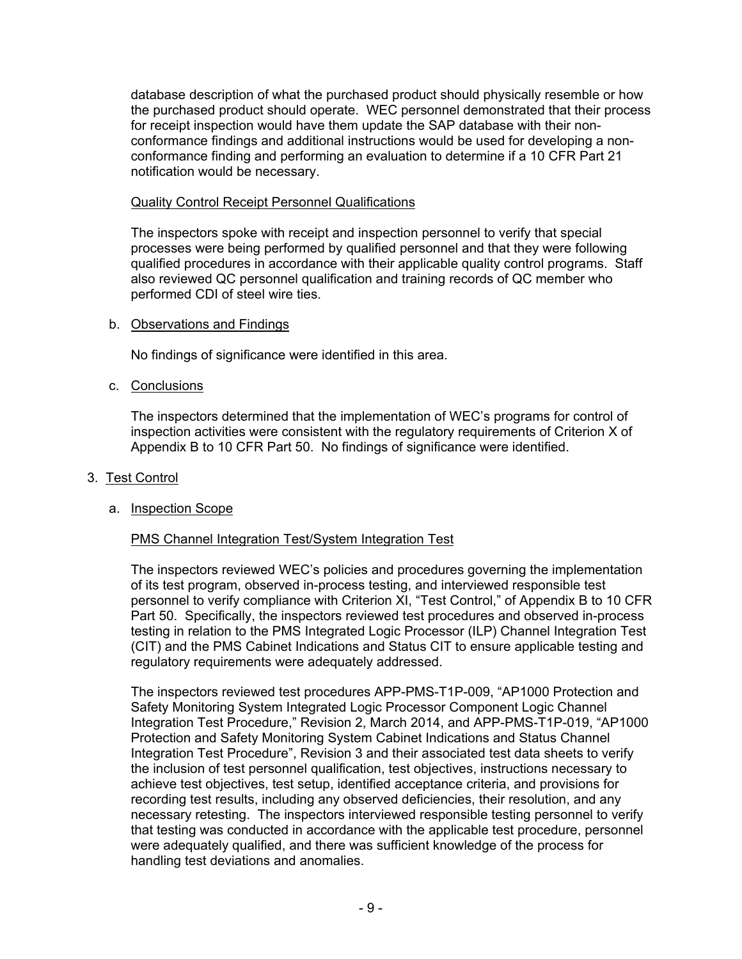database description of what the purchased product should physically resemble or how the purchased product should operate. WEC personnel demonstrated that their process for receipt inspection would have them update the SAP database with their nonconformance findings and additional instructions would be used for developing a nonconformance finding and performing an evaluation to determine if a 10 CFR Part 21 notification would be necessary.

## Quality Control Receipt Personnel Qualifications

The inspectors spoke with receipt and inspection personnel to verify that special processes were being performed by qualified personnel and that they were following qualified procedures in accordance with their applicable quality control programs. Staff also reviewed QC personnel qualification and training records of QC member who performed CDI of steel wire ties.

## b. Observations and Findings

No findings of significance were identified in this area.

c. Conclusions

The inspectors determined that the implementation of WEC's programs for control of inspection activities were consistent with the regulatory requirements of Criterion X of Appendix B to 10 CFR Part 50. No findings of significance were identified.

## 3. Test Control

# a. Inspection Scope

# PMS Channel Integration Test/System Integration Test

The inspectors reviewed WEC's policies and procedures governing the implementation of its test program, observed in-process testing, and interviewed responsible test personnel to verify compliance with Criterion XI, "Test Control," of Appendix B to 10 CFR Part 50. Specifically, the inspectors reviewed test procedures and observed in-process testing in relation to the PMS Integrated Logic Processor (ILP) Channel Integration Test (CIT) and the PMS Cabinet Indications and Status CIT to ensure applicable testing and regulatory requirements were adequately addressed.

The inspectors reviewed test procedures APP-PMS-T1P-009, "AP1000 Protection and Safety Monitoring System Integrated Logic Processor Component Logic Channel Integration Test Procedure," Revision 2, March 2014, and APP-PMS-T1P-019, "AP1000 Protection and Safety Monitoring System Cabinet Indications and Status Channel Integration Test Procedure", Revision 3 and their associated test data sheets to verify the inclusion of test personnel qualification, test objectives, instructions necessary to achieve test objectives, test setup, identified acceptance criteria, and provisions for recording test results, including any observed deficiencies, their resolution, and any necessary retesting. The inspectors interviewed responsible testing personnel to verify that testing was conducted in accordance with the applicable test procedure, personnel were adequately qualified, and there was sufficient knowledge of the process for handling test deviations and anomalies.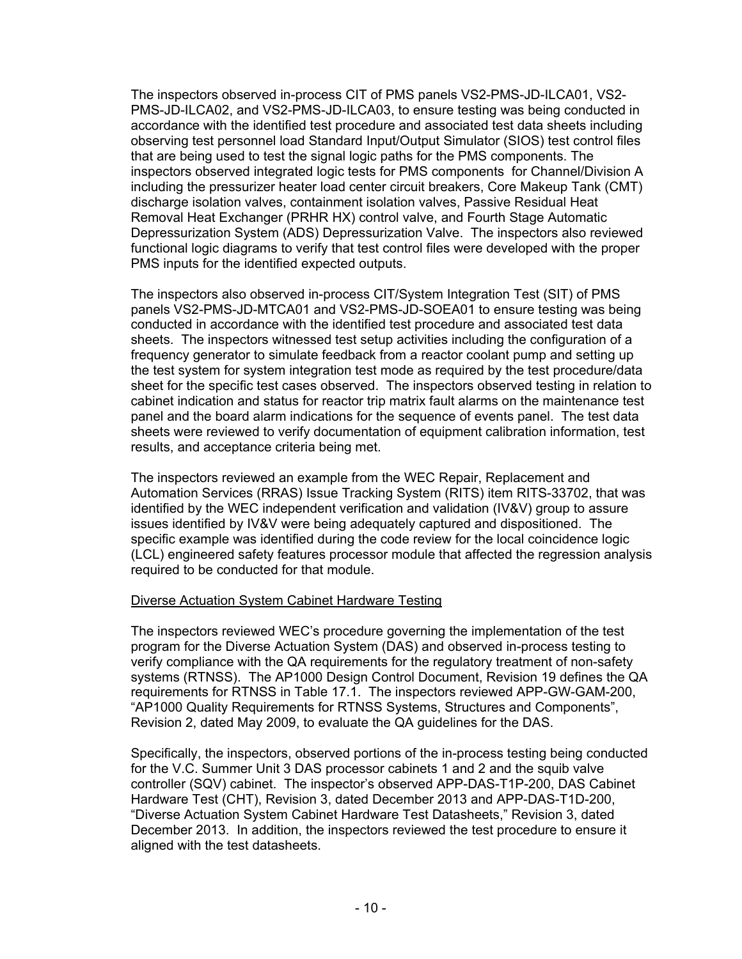The inspectors observed in-process CIT of PMS panels VS2-PMS-JD-ILCA01, VS2- PMS-JD-ILCA02, and VS2-PMS-JD-ILCA03, to ensure testing was being conducted in accordance with the identified test procedure and associated test data sheets including observing test personnel load Standard Input/Output Simulator (SIOS) test control files that are being used to test the signal logic paths for the PMS components. The inspectors observed integrated logic tests for PMS components for Channel/Division A including the pressurizer heater load center circuit breakers, Core Makeup Tank (CMT) discharge isolation valves, containment isolation valves, Passive Residual Heat Removal Heat Exchanger (PRHR HX) control valve, and Fourth Stage Automatic Depressurization System (ADS) Depressurization Valve. The inspectors also reviewed functional logic diagrams to verify that test control files were developed with the proper PMS inputs for the identified expected outputs.

The inspectors also observed in-process CIT/System Integration Test (SIT) of PMS panels VS2-PMS-JD-MTCA01 and VS2-PMS-JD-SOEA01 to ensure testing was being conducted in accordance with the identified test procedure and associated test data sheets. The inspectors witnessed test setup activities including the configuration of a frequency generator to simulate feedback from a reactor coolant pump and setting up the test system for system integration test mode as required by the test procedure/data sheet for the specific test cases observed. The inspectors observed testing in relation to cabinet indication and status for reactor trip matrix fault alarms on the maintenance test panel and the board alarm indications for the sequence of events panel. The test data sheets were reviewed to verify documentation of equipment calibration information, test results, and acceptance criteria being met.

The inspectors reviewed an example from the WEC Repair, Replacement and Automation Services (RRAS) Issue Tracking System (RITS) item RITS-33702, that was identified by the WEC independent verification and validation (IV&V) group to assure issues identified by IV&V were being adequately captured and dispositioned. The specific example was identified during the code review for the local coincidence logic (LCL) engineered safety features processor module that affected the regression analysis required to be conducted for that module.

## Diverse Actuation System Cabinet Hardware Testing

The inspectors reviewed WEC's procedure governing the implementation of the test program for the Diverse Actuation System (DAS) and observed in-process testing to verify compliance with the QA requirements for the regulatory treatment of non-safety systems (RTNSS). The AP1000 Design Control Document, Revision 19 defines the QA requirements for RTNSS in Table 17.1. The inspectors reviewed APP-GW-GAM-200, "AP1000 Quality Requirements for RTNSS Systems, Structures and Components", Revision 2, dated May 2009, to evaluate the QA guidelines for the DAS.

Specifically, the inspectors, observed portions of the in-process testing being conducted for the V.C. Summer Unit 3 DAS processor cabinets 1 and 2 and the squib valve controller (SQV) cabinet. The inspector's observed APP-DAS-T1P-200, DAS Cabinet Hardware Test (CHT), Revision 3, dated December 2013 and APP-DAS-T1D-200, "Diverse Actuation System Cabinet Hardware Test Datasheets," Revision 3, dated December 2013. In addition, the inspectors reviewed the test procedure to ensure it aligned with the test datasheets.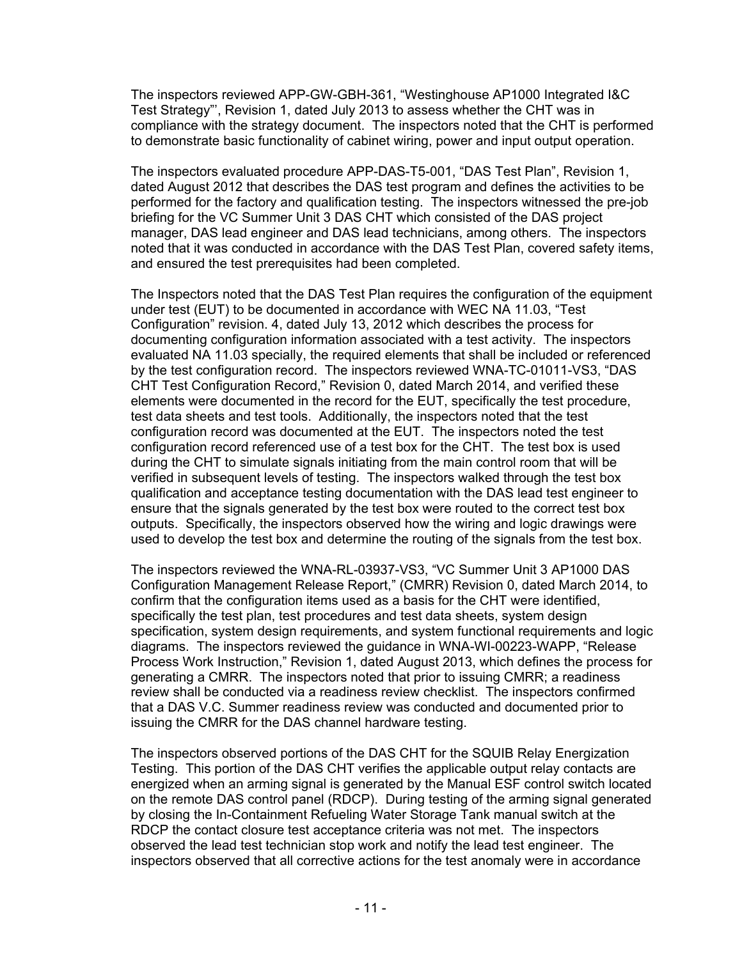The inspectors reviewed APP-GW-GBH-361, "Westinghouse AP1000 Integrated I&C Test Strategy"', Revision 1, dated July 2013 to assess whether the CHT was in compliance with the strategy document. The inspectors noted that the CHT is performed to demonstrate basic functionality of cabinet wiring, power and input output operation.

The inspectors evaluated procedure APP-DAS-T5-001, "DAS Test Plan", Revision 1, dated August 2012 that describes the DAS test program and defines the activities to be performed for the factory and qualification testing. The inspectors witnessed the pre-job briefing for the VC Summer Unit 3 DAS CHT which consisted of the DAS project manager, DAS lead engineer and DAS lead technicians, among others. The inspectors noted that it was conducted in accordance with the DAS Test Plan, covered safety items, and ensured the test prerequisites had been completed.

The Inspectors noted that the DAS Test Plan requires the configuration of the equipment under test (EUT) to be documented in accordance with WEC NA 11.03, "Test Configuration" revision. 4, dated July 13, 2012 which describes the process for documenting configuration information associated with a test activity. The inspectors evaluated NA 11.03 specially, the required elements that shall be included or referenced by the test configuration record. The inspectors reviewed WNA-TC-01011-VS3, "DAS CHT Test Configuration Record," Revision 0, dated March 2014, and verified these elements were documented in the record for the EUT, specifically the test procedure, test data sheets and test tools. Additionally, the inspectors noted that the test configuration record was documented at the EUT. The inspectors noted the test configuration record referenced use of a test box for the CHT. The test box is used during the CHT to simulate signals initiating from the main control room that will be verified in subsequent levels of testing. The inspectors walked through the test box qualification and acceptance testing documentation with the DAS lead test engineer to ensure that the signals generated by the test box were routed to the correct test box outputs. Specifically, the inspectors observed how the wiring and logic drawings were used to develop the test box and determine the routing of the signals from the test box.

The inspectors reviewed the WNA-RL-03937-VS3, "VC Summer Unit 3 AP1000 DAS Configuration Management Release Report," (CMRR) Revision 0, dated March 2014, to confirm that the configuration items used as a basis for the CHT were identified, specifically the test plan, test procedures and test data sheets, system design specification, system design requirements, and system functional requirements and logic diagrams. The inspectors reviewed the guidance in WNA-WI-00223-WAPP, "Release Process Work Instruction," Revision 1, dated August 2013, which defines the process for generating a CMRR. The inspectors noted that prior to issuing CMRR; a readiness review shall be conducted via a readiness review checklist. The inspectors confirmed that a DAS V.C. Summer readiness review was conducted and documented prior to issuing the CMRR for the DAS channel hardware testing.

The inspectors observed portions of the DAS CHT for the SQUIB Relay Energization Testing. This portion of the DAS CHT verifies the applicable output relay contacts are energized when an arming signal is generated by the Manual ESF control switch located on the remote DAS control panel (RDCP). During testing of the arming signal generated by closing the In-Containment Refueling Water Storage Tank manual switch at the RDCP the contact closure test acceptance criteria was not met. The inspectors observed the lead test technician stop work and notify the lead test engineer. The inspectors observed that all corrective actions for the test anomaly were in accordance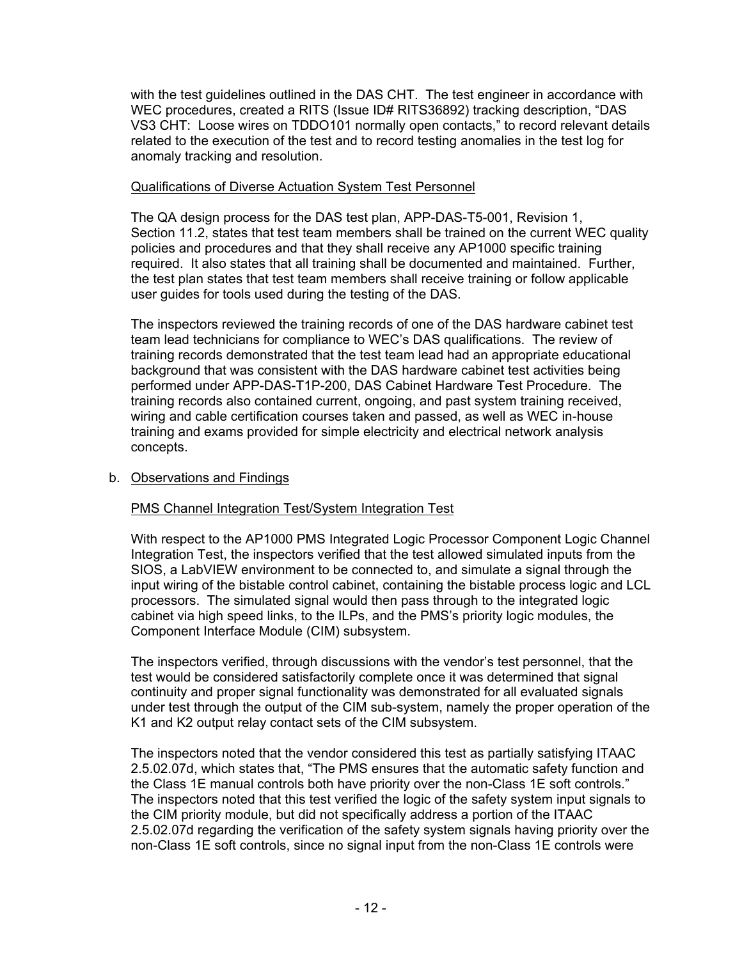with the test guidelines outlined in the DAS CHT. The test engineer in accordance with WEC procedures, created a RITS (Issue ID# RITS36892) tracking description, "DAS VS3 CHT: Loose wires on TDDO101 normally open contacts," to record relevant details related to the execution of the test and to record testing anomalies in the test log for anomaly tracking and resolution.

## Qualifications of Diverse Actuation System Test Personnel

The QA design process for the DAS test plan, APP-DAS-T5-001, Revision 1, Section 11.2, states that test team members shall be trained on the current WEC quality policies and procedures and that they shall receive any AP1000 specific training required. It also states that all training shall be documented and maintained. Further, the test plan states that test team members shall receive training or follow applicable user guides for tools used during the testing of the DAS.

The inspectors reviewed the training records of one of the DAS hardware cabinet test team lead technicians for compliance to WEC's DAS qualifications. The review of training records demonstrated that the test team lead had an appropriate educational background that was consistent with the DAS hardware cabinet test activities being performed under APP-DAS-T1P-200, DAS Cabinet Hardware Test Procedure. The training records also contained current, ongoing, and past system training received, wiring and cable certification courses taken and passed, as well as WEC in-house training and exams provided for simple electricity and electrical network analysis concepts.

## b. Observations and Findings

# PMS Channel Integration Test/System Integration Test

With respect to the AP1000 PMS Integrated Logic Processor Component Logic Channel Integration Test, the inspectors verified that the test allowed simulated inputs from the SIOS, a LabVIEW environment to be connected to, and simulate a signal through the input wiring of the bistable control cabinet, containing the bistable process logic and LCL processors. The simulated signal would then pass through to the integrated logic cabinet via high speed links, to the ILPs, and the PMS's priority logic modules, the Component Interface Module (CIM) subsystem.

The inspectors verified, through discussions with the vendor's test personnel, that the test would be considered satisfactorily complete once it was determined that signal continuity and proper signal functionality was demonstrated for all evaluated signals under test through the output of the CIM sub-system, namely the proper operation of the K1 and K2 output relay contact sets of the CIM subsystem.

The inspectors noted that the vendor considered this test as partially satisfying ITAAC 2.5.02.07d, which states that, "The PMS ensures that the automatic safety function and the Class 1E manual controls both have priority over the non-Class 1E soft controls." The inspectors noted that this test verified the logic of the safety system input signals to the CIM priority module, but did not specifically address a portion of the ITAAC 2.5.02.07d regarding the verification of the safety system signals having priority over the non-Class 1E soft controls, since no signal input from the non-Class 1E controls were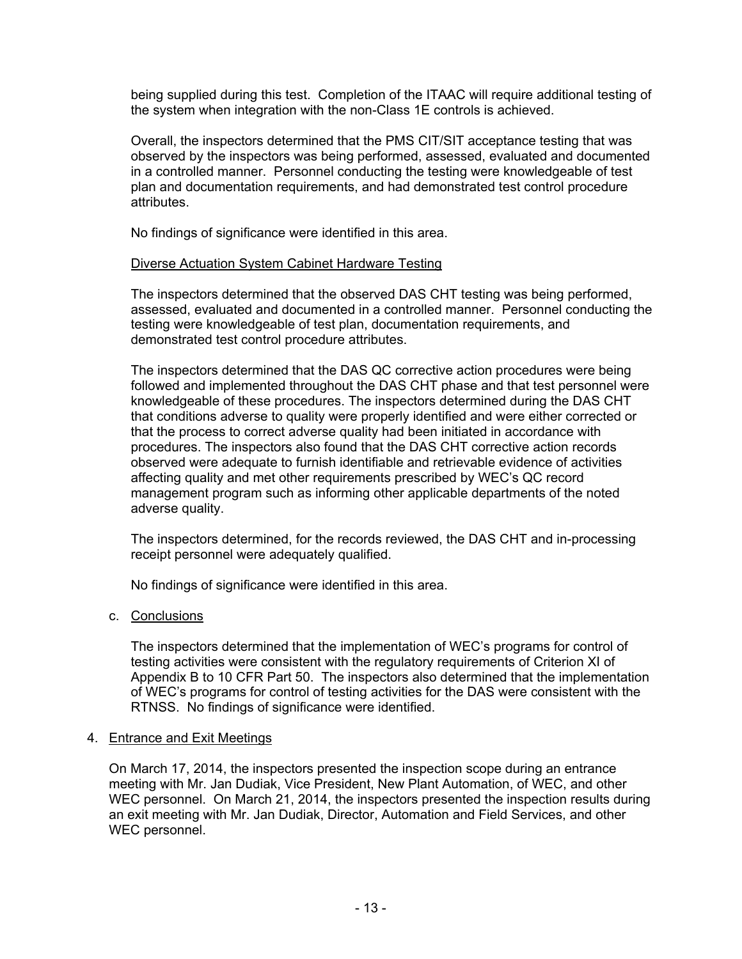being supplied during this test. Completion of the ITAAC will require additional testing of the system when integration with the non-Class 1E controls is achieved.

Overall, the inspectors determined that the PMS CIT/SIT acceptance testing that was observed by the inspectors was being performed, assessed, evaluated and documented in a controlled manner. Personnel conducting the testing were knowledgeable of test plan and documentation requirements, and had demonstrated test control procedure attributes.

No findings of significance were identified in this area.

### Diverse Actuation System Cabinet Hardware Testing

The inspectors determined that the observed DAS CHT testing was being performed, assessed, evaluated and documented in a controlled manner. Personnel conducting the testing were knowledgeable of test plan, documentation requirements, and demonstrated test control procedure attributes.

The inspectors determined that the DAS QC corrective action procedures were being followed and implemented throughout the DAS CHT phase and that test personnel were knowledgeable of these procedures. The inspectors determined during the DAS CHT that conditions adverse to quality were properly identified and were either corrected or that the process to correct adverse quality had been initiated in accordance with procedures. The inspectors also found that the DAS CHT corrective action records observed were adequate to furnish identifiable and retrievable evidence of activities affecting quality and met other requirements prescribed by WEC's QC record management program such as informing other applicable departments of the noted adverse quality.

The inspectors determined, for the records reviewed, the DAS CHT and in-processing receipt personnel were adequately qualified.

No findings of significance were identified in this area.

## c. Conclusions

The inspectors determined that the implementation of WEC's programs for control of testing activities were consistent with the regulatory requirements of Criterion XI of Appendix B to 10 CFR Part 50. The inspectors also determined that the implementation of WEC's programs for control of testing activities for the DAS were consistent with the RTNSS. No findings of significance were identified.

#### 4. Entrance and Exit Meetings

On March 17, 2014, the inspectors presented the inspection scope during an entrance meeting with Mr. Jan Dudiak, Vice President, New Plant Automation, of WEC, and other WEC personnel. On March 21, 2014, the inspectors presented the inspection results during an exit meeting with Mr. Jan Dudiak, Director, Automation and Field Services, and other WEC personnel.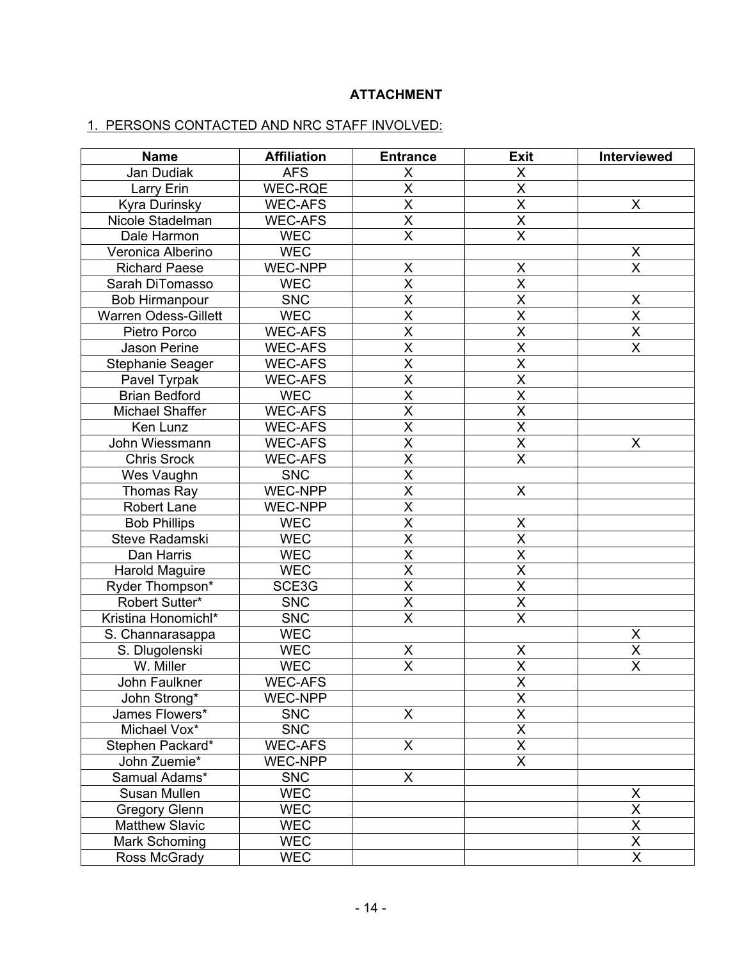# **ATTACHMENT**

### 1. PERSONS CONTACTED AND NRC STAFF INVOLVED:

| <b>Name</b>                 | <b>Affiliation</b> | <b>Entrance</b>         | <b>Exit</b>             | Interviewed             |
|-----------------------------|--------------------|-------------------------|-------------------------|-------------------------|
| Jan Dudiak                  | <b>AFS</b>         | X                       | X                       |                         |
| Larry Erin                  | WEC-RQE            | $\overline{\mathsf{x}}$ | $\overline{\mathsf{x}}$ |                         |
| <b>Kyra Durinsky</b>        | <b>WEC-AFS</b>     | $\overline{\mathsf{x}}$ | $\overline{\mathsf{x}}$ | X                       |
| Nicole Stadelman            | <b>WEC-AFS</b>     | $\overline{\mathsf{x}}$ | $\overline{\mathsf{x}}$ |                         |
| Dale Harmon                 | <b>WEC</b>         | $\overline{\mathsf{x}}$ | $\overline{\mathsf{x}}$ |                         |
| Veronica Alberino           | <b>WEC</b>         |                         |                         | X                       |
| <b>Richard Paese</b>        | <b>WEC-NPP</b>     | $\pmb{\mathsf{X}}$      | X                       | $\overline{\mathsf{x}}$ |
| Sarah DiTomasso             | <b>WEC</b>         | $\overline{\mathsf{x}}$ | $\overline{\mathsf{x}}$ |                         |
| Bob Hirmanpour              | <b>SNC</b>         | $\overline{\mathsf{x}}$ | $\overline{\mathsf{x}}$ | $\pmb{\mathsf{X}}$      |
| <b>Warren Odess-Gillett</b> | <b>WEC</b>         | $\overline{\mathsf{x}}$ | $\overline{\mathsf{x}}$ | $\overline{\mathsf{x}}$ |
| Pietro Porco                | <b>WEC-AFS</b>     | $\overline{\mathsf{x}}$ | X                       | $\overline{\mathsf{x}}$ |
| Jason Perine                | <b>WEC-AFS</b>     | $\overline{\mathsf{x}}$ | $\overline{\mathsf{x}}$ | X                       |
| Stephanie Seager            | <b>WEC-AFS</b>     | $\overline{\mathsf{x}}$ | $\overline{\mathsf{x}}$ |                         |
| Pavel Tyrpak                | <b>WEC-AFS</b>     | $\overline{\mathsf{x}}$ | $\overline{\mathsf{x}}$ |                         |
| <b>Brian Bedford</b>        | <b>WEC</b>         | $\overline{\mathsf{x}}$ | $\overline{\mathsf{x}}$ |                         |
| Michael Shaffer             | <b>WEC-AFS</b>     | $\overline{\mathsf{x}}$ | $\overline{\mathsf{x}}$ |                         |
| Ken Lunz                    | <b>WEC-AFS</b>     | $\overline{\mathsf{x}}$ | $\overline{\mathsf{x}}$ |                         |
| John Wiessmann              | <b>WEC-AFS</b>     | $\overline{\mathsf{x}}$ | $\overline{\mathsf{x}}$ | X                       |
| <b>Chris Srock</b>          | <b>WEC-AFS</b>     | $\overline{\mathsf{x}}$ | $\overline{\mathsf{x}}$ |                         |
| Wes Vaughn                  | <b>SNC</b>         | $\overline{\mathsf{x}}$ |                         |                         |
| Thomas Ray                  | WEC-NPP            | $\overline{\mathsf{x}}$ | X                       |                         |
| Robert Lane                 | <b>WEC-NPP</b>     | $\overline{\mathsf{x}}$ |                         |                         |
| <b>Bob Phillips</b>         | <b>WEC</b>         | $\overline{\mathsf{x}}$ | $\pmb{\mathsf{X}}$      |                         |
| Steve Radamski              | <b>WEC</b>         | $\overline{\mathsf{x}}$ | $\overline{\mathsf{x}}$ |                         |
| Dan Harris                  | <b>WEC</b>         | $\overline{\mathsf{x}}$ | $\overline{\mathsf{x}}$ |                         |
| Harold Maguire              | <b>WEC</b>         | $\overline{\mathsf{x}}$ | $\overline{\mathsf{x}}$ |                         |
| Ryder Thompson*             | SCE3G              | $\overline{\mathsf{x}}$ | $\overline{\mathsf{x}}$ |                         |
| Robert Sutter*              | <b>SNC</b>         | $\overline{\mathsf{x}}$ | $\overline{X}$          |                         |
| Kristina Honomichl*         | <b>SNC</b>         | $\overline{\mathsf{X}}$ | $\overline{\mathsf{x}}$ |                         |
| S. Channarasappa            | <b>WEC</b>         |                         |                         | X                       |
| S. Dlugolenski              | <b>WEC</b>         | Χ                       | Χ                       | $\overline{\mathsf{x}}$ |
| W. Miller                   | <b>WEC</b>         | $\overline{\mathsf{x}}$ | $\overline{\mathsf{X}}$ | $\overline{\mathsf{x}}$ |
| John Faulkner               | <b>WEC-AFS</b>     |                         | $\overline{\mathsf{x}}$ |                         |
| John Strong*                | <b>WEC-NPP</b>     |                         | X                       |                         |
| James Flowers*              | <b>SNC</b>         | X                       | $\overline{\mathsf{x}}$ |                         |
| Michael Vox*                | <b>SNC</b>         |                         | $\overline{\mathsf{x}}$ |                         |
| Stephen Packard*            | <b>WEC-AFS</b>     | X                       | X                       |                         |
| John Zuemie*                | WEC-NPP            |                         | $\overline{\mathsf{x}}$ |                         |
| Samual Adams*               | <b>SNC</b>         | X                       |                         |                         |
| Susan Mullen                | WEC                |                         |                         | X                       |
| <b>Gregory Glenn</b>        | <b>WEC</b>         |                         |                         | $\overline{\mathsf{x}}$ |
| <b>Matthew Slavic</b>       | <b>WEC</b>         |                         |                         | $\overline{\mathsf{x}}$ |
| Mark Schoming               | <b>WEC</b>         |                         |                         | $\overline{X}$          |
| Ross McGrady                | <b>WEC</b>         |                         |                         | $\overline{\mathsf{x}}$ |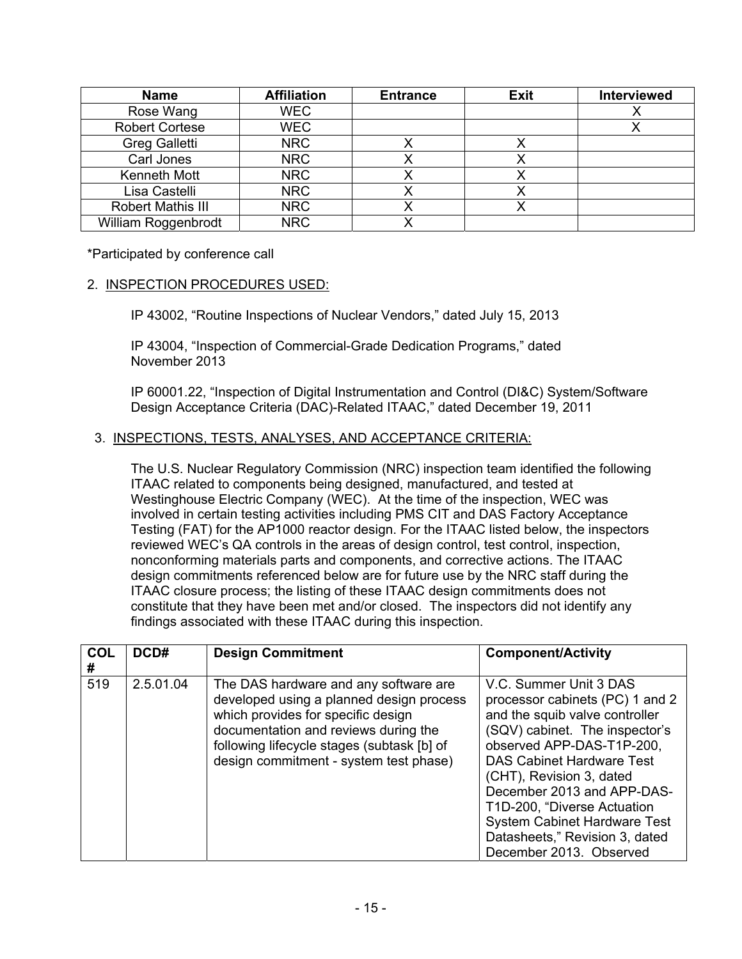| <b>Name</b>              | <b>Affiliation</b> | <b>Entrance</b> | Exit | <b>Interviewed</b> |
|--------------------------|--------------------|-----------------|------|--------------------|
| Rose Wang                | <b>WEC</b>         |                 |      |                    |
| <b>Robert Cortese</b>    | <b>WEC</b>         |                 |      |                    |
| <b>Greg Galletti</b>     | <b>NRC</b>         |                 |      |                    |
| Carl Jones               | <b>NRC</b>         |                 |      |                    |
| Kenneth Mott             | <b>NRC</b>         |                 |      |                    |
| Lisa Castelli            | <b>NRC</b>         |                 |      |                    |
| <b>Robert Mathis III</b> | <b>NRC</b>         |                 |      |                    |
| William Roggenbrodt      | <b>NRC</b>         |                 |      |                    |

\*Participated by conference call

### 2. INSPECTION PROCEDURES USED:

IP 43002, "Routine Inspections of Nuclear Vendors," dated July 15, 2013

IP 43004, "Inspection of Commercial-Grade Dedication Programs," dated November 2013

IP 60001.22, "Inspection of Digital Instrumentation and Control (DI&C) System/Software Design Acceptance Criteria (DAC)-Related ITAAC," dated December 19, 2011

### 3. INSPECTIONS, TESTS, ANALYSES, AND ACCEPTANCE CRITERIA:

The U.S. Nuclear Regulatory Commission (NRC) inspection team identified the following ITAAC related to components being designed, manufactured, and tested at Westinghouse Electric Company (WEC). At the time of the inspection, WEC was involved in certain testing activities including PMS CIT and DAS Factory Acceptance Testing (FAT) for the AP1000 reactor design. For the ITAAC listed below, the inspectors reviewed WEC's QA controls in the areas of design control, test control, inspection, nonconforming materials parts and components, and corrective actions. The ITAAC design commitments referenced below are for future use by the NRC staff during the ITAAC closure process; the listing of these ITAAC design commitments does not constitute that they have been met and/or closed. The inspectors did not identify any findings associated with these ITAAC during this inspection.

| COL<br># | DCD#      | <b>Design Commitment</b>                                                                                                                                                                                                                                | <b>Component/Activity</b>                                                                                                                                                                                                                                                                                                                                                                   |
|----------|-----------|---------------------------------------------------------------------------------------------------------------------------------------------------------------------------------------------------------------------------------------------------------|---------------------------------------------------------------------------------------------------------------------------------------------------------------------------------------------------------------------------------------------------------------------------------------------------------------------------------------------------------------------------------------------|
| 519      | 2.5.01.04 | The DAS hardware and any software are<br>developed using a planned design process<br>which provides for specific design<br>documentation and reviews during the<br>following lifecycle stages (subtask [b] of<br>design commitment - system test phase) | V.C. Summer Unit 3 DAS<br>processor cabinets (PC) 1 and 2<br>and the squib valve controller<br>(SQV) cabinet. The inspector's<br>observed APP-DAS-T1P-200,<br><b>DAS Cabinet Hardware Test</b><br>(CHT), Revision 3, dated<br>December 2013 and APP-DAS-<br>T1D-200, "Diverse Actuation<br><b>System Cabinet Hardware Test</b><br>Datasheets," Revision 3, dated<br>December 2013. Observed |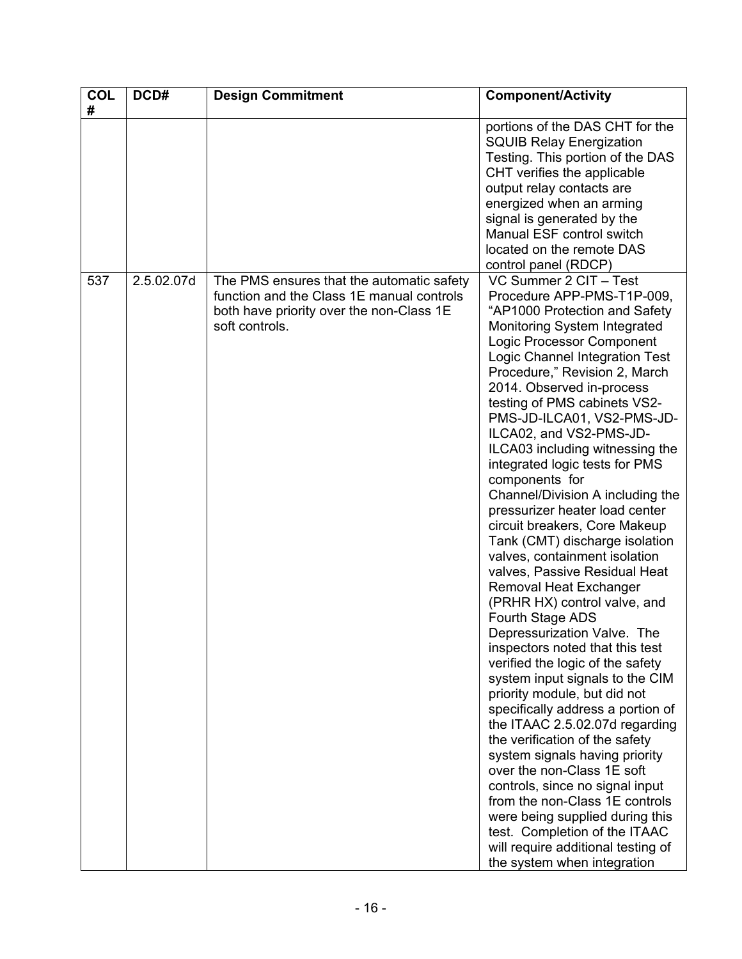| <b>COL</b><br># | DCD#       | <b>Design Commitment</b>                                                                                                                             | <b>Component/Activity</b>                                                                                                                                                                                                                                                                                                                                                                                                                                                                                                                                                                                                                                                                                                                                                                                                                                                                                                                                                                                                                                                                                                                                                                                                                                                                   |
|-----------------|------------|------------------------------------------------------------------------------------------------------------------------------------------------------|---------------------------------------------------------------------------------------------------------------------------------------------------------------------------------------------------------------------------------------------------------------------------------------------------------------------------------------------------------------------------------------------------------------------------------------------------------------------------------------------------------------------------------------------------------------------------------------------------------------------------------------------------------------------------------------------------------------------------------------------------------------------------------------------------------------------------------------------------------------------------------------------------------------------------------------------------------------------------------------------------------------------------------------------------------------------------------------------------------------------------------------------------------------------------------------------------------------------------------------------------------------------------------------------|
|                 |            |                                                                                                                                                      | portions of the DAS CHT for the<br><b>SQUIB Relay Energization</b><br>Testing. This portion of the DAS<br>CHT verifies the applicable<br>output relay contacts are<br>energized when an arming<br>signal is generated by the<br>Manual ESF control switch<br>located on the remote DAS<br>control panel (RDCP)                                                                                                                                                                                                                                                                                                                                                                                                                                                                                                                                                                                                                                                                                                                                                                                                                                                                                                                                                                              |
| 537             | 2.5.02.07d | The PMS ensures that the automatic safety<br>function and the Class 1E manual controls<br>both have priority over the non-Class 1E<br>soft controls. | VC Summer 2 CIT - Test<br>Procedure APP-PMS-T1P-009,<br>"AP1000 Protection and Safety<br>Monitoring System Integrated<br>Logic Processor Component<br>Logic Channel Integration Test<br>Procedure," Revision 2, March<br>2014. Observed in-process<br>testing of PMS cabinets VS2-<br>PMS-JD-ILCA01, VS2-PMS-JD-<br>ILCA02, and VS2-PMS-JD-<br>ILCA03 including witnessing the<br>integrated logic tests for PMS<br>components for<br>Channel/Division A including the<br>pressurizer heater load center<br>circuit breakers, Core Makeup<br>Tank (CMT) discharge isolation<br>valves, containment isolation<br>valves, Passive Residual Heat<br>Removal Heat Exchanger<br>(PRHR HX) control valve, and<br>Fourth Stage ADS<br>Depressurization Valve. The<br>inspectors noted that this test<br>verified the logic of the safety<br>system input signals to the CIM<br>priority module, but did not<br>specifically address a portion of<br>the ITAAC 2.5.02.07d regarding<br>the verification of the safety<br>system signals having priority<br>over the non-Class 1E soft<br>controls, since no signal input<br>from the non-Class 1E controls<br>were being supplied during this<br>test. Completion of the ITAAC<br>will require additional testing of<br>the system when integration |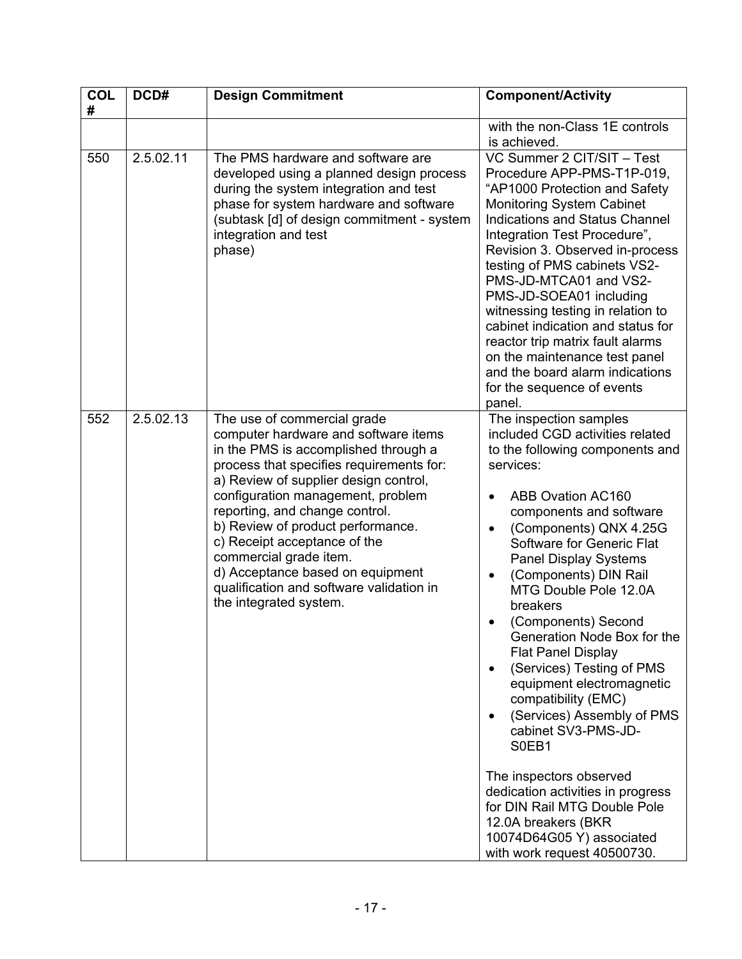| <b>COL</b><br># | DCD#      | <b>Design Commitment</b>                                                                                                                                                                                                                                                                                                                                                                                                                                                         | <b>Component/Activity</b>                                                                                                                                                                                                                                                                                                                                                                                                                                                                                                                                                                                                                                                                                                                  |
|-----------------|-----------|----------------------------------------------------------------------------------------------------------------------------------------------------------------------------------------------------------------------------------------------------------------------------------------------------------------------------------------------------------------------------------------------------------------------------------------------------------------------------------|--------------------------------------------------------------------------------------------------------------------------------------------------------------------------------------------------------------------------------------------------------------------------------------------------------------------------------------------------------------------------------------------------------------------------------------------------------------------------------------------------------------------------------------------------------------------------------------------------------------------------------------------------------------------------------------------------------------------------------------------|
|                 |           |                                                                                                                                                                                                                                                                                                                                                                                                                                                                                  | with the non-Class 1E controls<br>is achieved.                                                                                                                                                                                                                                                                                                                                                                                                                                                                                                                                                                                                                                                                                             |
| 550             | 2.5.02.11 | The PMS hardware and software are<br>developed using a planned design process<br>during the system integration and test<br>phase for system hardware and software<br>(subtask [d] of design commitment - system<br>integration and test<br>phase)                                                                                                                                                                                                                                | VC Summer 2 CIT/SIT - Test<br>Procedure APP-PMS-T1P-019,<br>"AP1000 Protection and Safety<br><b>Monitoring System Cabinet</b><br><b>Indications and Status Channel</b><br>Integration Test Procedure",<br>Revision 3. Observed in-process<br>testing of PMS cabinets VS2-<br>PMS-JD-MTCA01 and VS2-<br>PMS-JD-SOEA01 including<br>witnessing testing in relation to<br>cabinet indication and status for<br>reactor trip matrix fault alarms<br>on the maintenance test panel<br>and the board alarm indications<br>for the sequence of events<br>panel.                                                                                                                                                                                   |
| 552             | 2.5.02.13 | The use of commercial grade<br>computer hardware and software items<br>in the PMS is accomplished through a<br>process that specifies requirements for:<br>a) Review of supplier design control,<br>configuration management, problem<br>reporting, and change control.<br>b) Review of product performance.<br>c) Receipt acceptance of the<br>commercial grade item.<br>d) Acceptance based on equipment<br>qualification and software validation in<br>the integrated system. | The inspection samples<br>included CGD activities related<br>to the following components and<br>services:<br><b>ABB Ovation AC160</b><br>components and software<br>(Components) QNX 4.25G<br>Software for Generic Flat<br><b>Panel Display Systems</b><br>(Components) DIN Rail<br>MTG Double Pole 12.0A<br>breakers<br>(Components) Second<br>Generation Node Box for the<br><b>Flat Panel Display</b><br>(Services) Testing of PMS<br>equipment electromagnetic<br>compatibility (EMC)<br>(Services) Assembly of PMS<br>cabinet SV3-PMS-JD-<br>S0EB1<br>The inspectors observed<br>dedication activities in progress<br>for DIN Rail MTG Double Pole<br>12.0A breakers (BKR<br>10074D64G05 Y) associated<br>with work request 40500730. |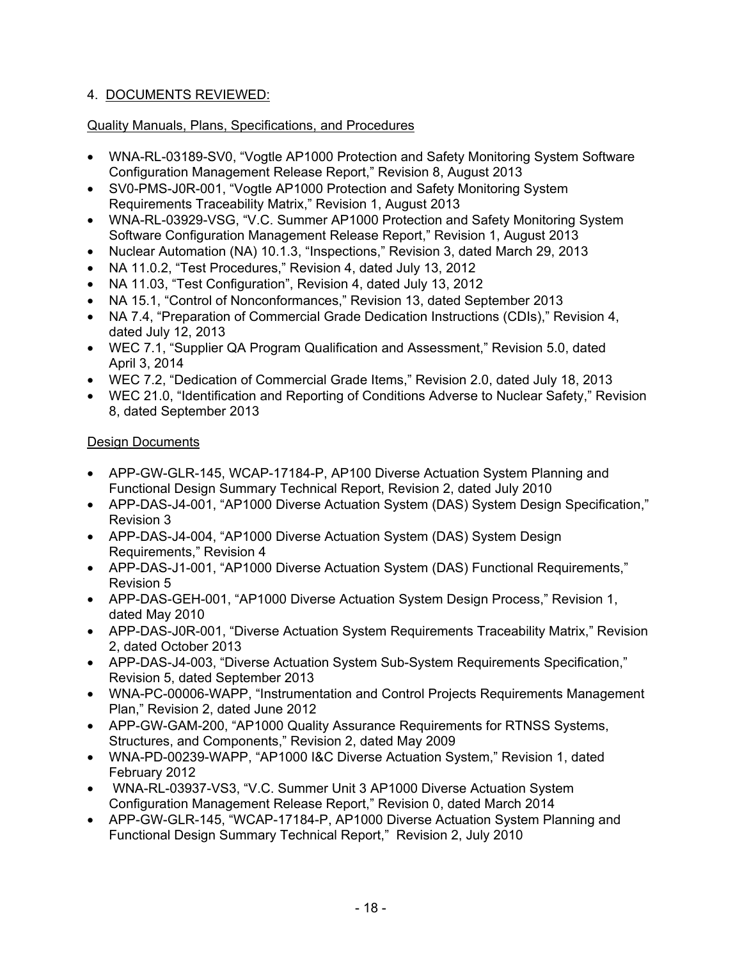# 4. DOCUMENTS REVIEWED:

# Quality Manuals, Plans, Specifications, and Procedures

- WNA-RL-03189-SV0, "Vogtle AP1000 Protection and Safety Monitoring System Software Configuration Management Release Report," Revision 8, August 2013
- SV0-PMS-J0R-001, "Vogtle AP1000 Protection and Safety Monitoring System Requirements Traceability Matrix," Revision 1, August 2013
- WNA-RL-03929-VSG, "V.C. Summer AP1000 Protection and Safety Monitoring System Software Configuration Management Release Report," Revision 1, August 2013
- Nuclear Automation (NA) 10.1.3, "Inspections," Revision 3, dated March 29, 2013
- NA 11.0.2, "Test Procedures," Revision 4, dated July 13, 2012
- NA 11.03, "Test Configuration", Revision 4, dated July 13, 2012
- NA 15.1, "Control of Nonconformances," Revision 13, dated September 2013
- NA 7.4, "Preparation of Commercial Grade Dedication Instructions (CDIs)," Revision 4, dated July 12, 2013
- WEC 7.1, "Supplier QA Program Qualification and Assessment," Revision 5.0, dated April 3, 2014
- WEC 7.2, "Dedication of Commercial Grade Items," Revision 2.0, dated July 18, 2013
- WEC 21.0, "Identification and Reporting of Conditions Adverse to Nuclear Safety," Revision 8, dated September 2013

# Design Documents

- APP-GW-GLR-145, WCAP-17184-P, AP100 Diverse Actuation System Planning and Functional Design Summary Technical Report, Revision 2, dated July 2010
- APP-DAS-J4-001, "AP1000 Diverse Actuation System (DAS) System Design Specification," Revision 3
- APP-DAS-J4-004, "AP1000 Diverse Actuation System (DAS) System Design Requirements," Revision 4
- APP-DAS-J1-001, "AP1000 Diverse Actuation System (DAS) Functional Requirements," Revision 5
- APP-DAS-GEH-001, "AP1000 Diverse Actuation System Design Process," Revision 1, dated May 2010
- APP-DAS-J0R-001, "Diverse Actuation System Requirements Traceability Matrix," Revision 2, dated October 2013
- APP-DAS-J4-003, "Diverse Actuation System Sub-System Requirements Specification," Revision 5, dated September 2013
- WNA-PC-00006-WAPP, "Instrumentation and Control Projects Requirements Management Plan," Revision 2, dated June 2012
- APP-GW-GAM-200, "AP1000 Quality Assurance Requirements for RTNSS Systems, Structures, and Components," Revision 2, dated May 2009
- WNA-PD-00239-WAPP, "AP1000 I&C Diverse Actuation System," Revision 1, dated February 2012
- WNA-RL-03937-VS3, "V.C. Summer Unit 3 AP1000 Diverse Actuation System Configuration Management Release Report," Revision 0, dated March 2014
- APP-GW-GLR-145, "WCAP-17184-P, AP1000 Diverse Actuation System Planning and Functional Design Summary Technical Report," Revision 2, July 2010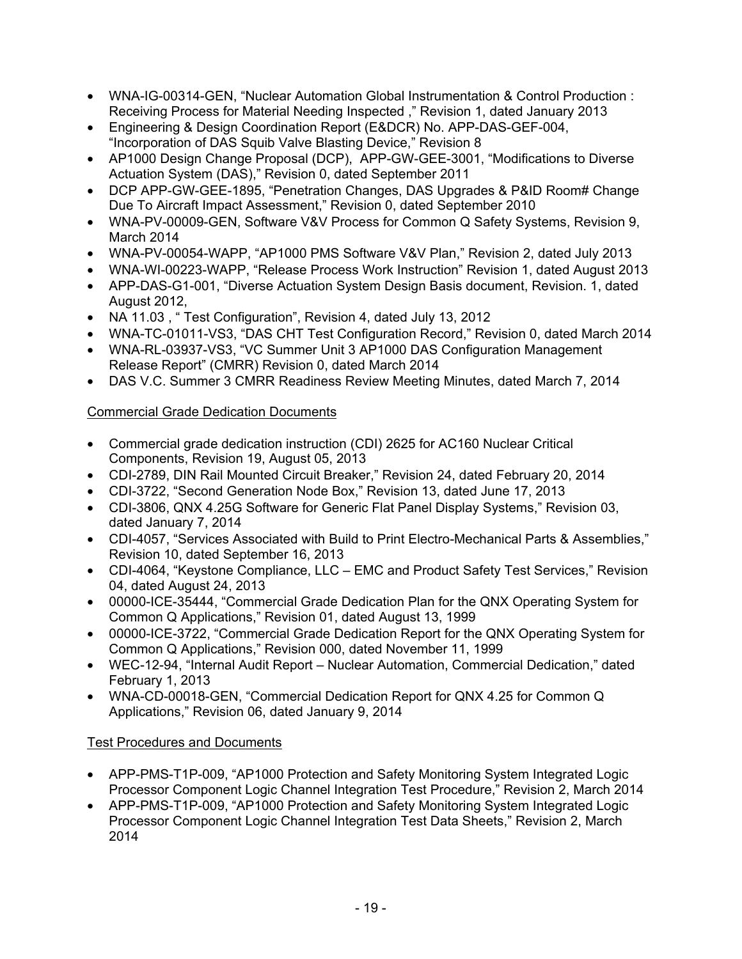- WNA-IG-00314-GEN, "Nuclear Automation Global Instrumentation & Control Production : Receiving Process for Material Needing Inspected ," Revision 1, dated January 2013
- Engineering & Design Coordination Report (E&DCR) No. APP-DAS-GEF-004, "Incorporation of DAS Squib Valve Blasting Device," Revision 8
- AP1000 Design Change Proposal (DCP), APP-GW-GEE-3001, "Modifications to Diverse Actuation System (DAS)," Revision 0, dated September 2011
- DCP APP-GW-GEE-1895, "Penetration Changes, DAS Upgrades & P&ID Room# Change Due To Aircraft Impact Assessment," Revision 0, dated September 2010
- WNA-PV-00009-GEN, Software V&V Process for Common Q Safety Systems, Revision 9, March 2014
- WNA-PV-00054-WAPP, "AP1000 PMS Software V&V Plan," Revision 2, dated July 2013
- WNA-WI-00223-WAPP, "Release Process Work Instruction" Revision 1, dated August 2013
- APP-DAS-G1-001, "Diverse Actuation System Design Basis document, Revision. 1, dated August 2012,
- NA 11.03, "Test Configuration", Revision 4, dated July 13, 2012
- WNA-TC-01011-VS3, "DAS CHT Test Configuration Record," Revision 0, dated March 2014
- WNA-RL-03937-VS3, "VC Summer Unit 3 AP1000 DAS Configuration Management Release Report" (CMRR) Revision 0, dated March 2014
- DAS V.C. Summer 3 CMRR Readiness Review Meeting Minutes, dated March 7, 2014

# Commercial Grade Dedication Documents

- Commercial grade dedication instruction (CDI) 2625 for AC160 Nuclear Critical Components, Revision 19, August 05, 2013
- CDI-2789, DIN Rail Mounted Circuit Breaker," Revision 24, dated February 20, 2014
- CDI-3722, "Second Generation Node Box," Revision 13, dated June 17, 2013
- CDI-3806, QNX 4.25G Software for Generic Flat Panel Display Systems," Revision 03, dated January 7, 2014
- CDI-4057, "Services Associated with Build to Print Electro-Mechanical Parts & Assemblies," Revision 10, dated September 16, 2013
- CDI-4064, "Keystone Compliance, LLC EMC and Product Safety Test Services," Revision 04, dated August 24, 2013
- 00000-ICE-35444, "Commercial Grade Dedication Plan for the QNX Operating System for Common Q Applications," Revision 01, dated August 13, 1999
- 00000-ICE-3722, "Commercial Grade Dedication Report for the QNX Operating System for Common Q Applications," Revision 000, dated November 11, 1999
- WEC-12-94, "Internal Audit Report Nuclear Automation, Commercial Dedication," dated February 1, 2013
- WNA-CD-00018-GEN, "Commercial Dedication Report for QNX 4.25 for Common Q Applications," Revision 06, dated January 9, 2014

# Test Procedures and Documents

- APP-PMS-T1P-009, "AP1000 Protection and Safety Monitoring System Integrated Logic Processor Component Logic Channel Integration Test Procedure," Revision 2, March 2014
- APP-PMS-T1P-009, "AP1000 Protection and Safety Monitoring System Integrated Logic Processor Component Logic Channel Integration Test Data Sheets," Revision 2, March 2014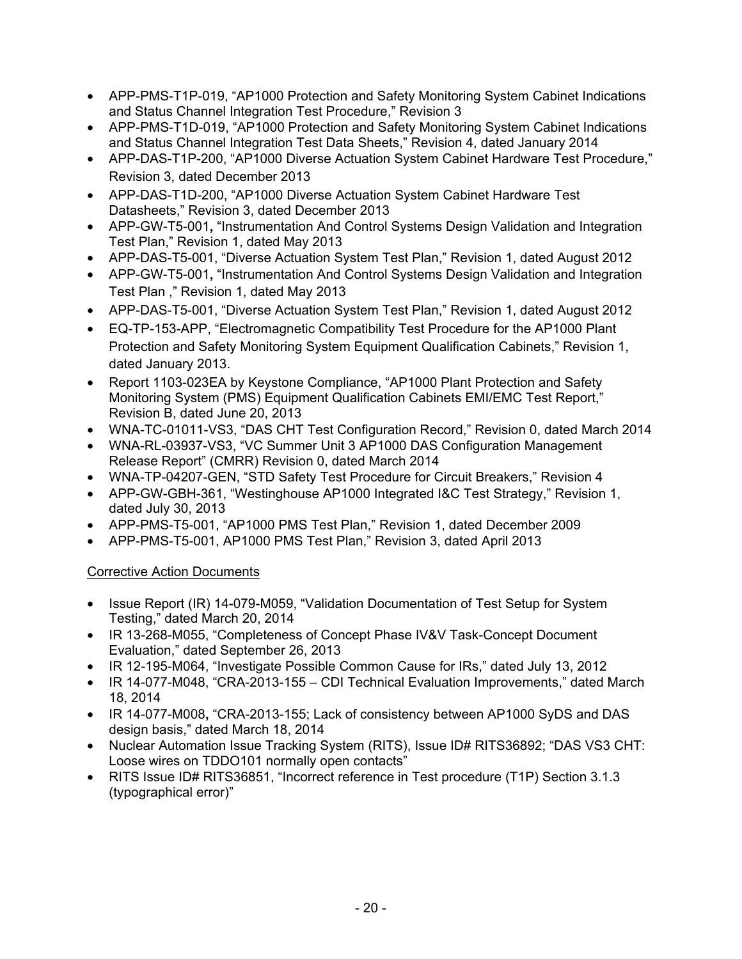- APP-PMS-T1P-019, "AP1000 Protection and Safety Monitoring System Cabinet Indications and Status Channel Integration Test Procedure," Revision 3
- APP-PMS-T1D-019, "AP1000 Protection and Safety Monitoring System Cabinet Indications and Status Channel Integration Test Data Sheets," Revision 4, dated January 2014
- APP-DAS-T1P-200, "AP1000 Diverse Actuation System Cabinet Hardware Test Procedure," Revision 3, dated December 2013
- APP-DAS-T1D-200, "AP1000 Diverse Actuation System Cabinet Hardware Test Datasheets," Revision 3, dated December 2013
- APP-GW-T5-001**,** "Instrumentation And Control Systems Design Validation and Integration Test Plan," Revision 1, dated May 2013
- APP-DAS-T5-001, "Diverse Actuation System Test Plan," Revision 1, dated August 2012
- APP-GW-T5-001**,** "Instrumentation And Control Systems Design Validation and Integration Test Plan ," Revision 1, dated May 2013
- APP-DAS-T5-001, "Diverse Actuation System Test Plan," Revision 1, dated August 2012
- EQ-TP-153-APP, "Electromagnetic Compatibility Test Procedure for the AP1000 Plant Protection and Safety Monitoring System Equipment Qualification Cabinets," Revision 1, dated January 2013.
- Report 1103-023EA by Keystone Compliance, "AP1000 Plant Protection and Safety Monitoring System (PMS) Equipment Qualification Cabinets EMI/EMC Test Report," Revision B, dated June 20, 2013
- WNA-TC-01011-VS3, "DAS CHT Test Configuration Record," Revision 0, dated March 2014
- WNA-RL-03937-VS3, "VC Summer Unit 3 AP1000 DAS Configuration Management Release Report" (CMRR) Revision 0, dated March 2014
- WNA-TP-04207-GEN, "STD Safety Test Procedure for Circuit Breakers," Revision 4
- APP-GW-GBH-361, "Westinghouse AP1000 Integrated I&C Test Strategy," Revision 1, dated July 30, 2013
- APP-PMS-T5-001, "AP1000 PMS Test Plan," Revision 1, dated December 2009
- APP-PMS-T5-001, AP1000 PMS Test Plan," Revision 3, dated April 2013

# Corrective Action Documents

- Issue Report (IR) 14-079-M059, "Validation Documentation of Test Setup for System Testing," dated March 20, 2014
- IR 13-268-M055, "Completeness of Concept Phase IV&V Task-Concept Document Evaluation," dated September 26, 2013
- IR 12-195-M064, "Investigate Possible Common Cause for IRs," dated July 13, 2012
- IR 14-077-M048, "CRA-2013-155 CDI Technical Evaluation Improvements," dated March 18, 2014
- IR 14-077-M008**,** "CRA-2013-155; Lack of consistency between AP1000 SyDS and DAS design basis," dated March 18, 2014
- Nuclear Automation Issue Tracking System (RITS), Issue ID# RITS36892; "DAS VS3 CHT: Loose wires on TDDO101 normally open contacts"
- RITS Issue ID# RITS36851, "Incorrect reference in Test procedure (T1P) Section 3.1.3 (typographical error)"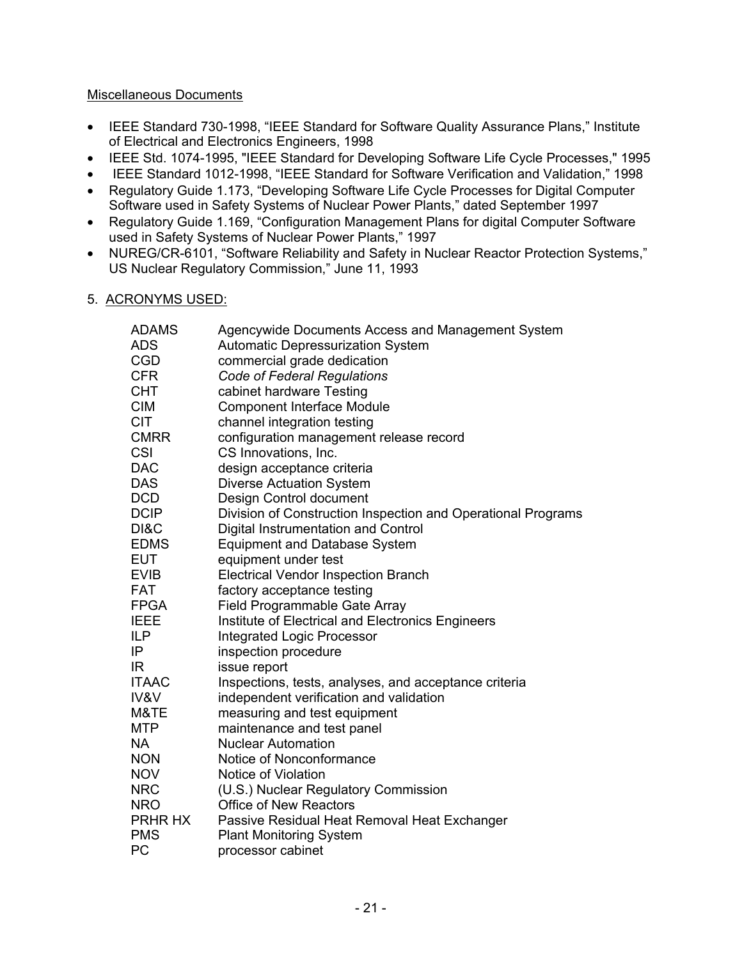## Miscellaneous Documents

- IEEE Standard 730-1998, "IEEE Standard for Software Quality Assurance Plans," Institute of Electrical and Electronics Engineers, 1998
- IEEE Std. 1074-1995, "IEEE Standard for Developing Software Life Cycle Processes," 1995
- IEEE Standard 1012-1998, "IEEE Standard for Software Verification and Validation," 1998
- Regulatory Guide 1.173, "Developing Software Life Cycle Processes for Digital Computer Software used in Safety Systems of Nuclear Power Plants," dated September 1997
- Regulatory Guide 1.169, "Configuration Management Plans for digital Computer Software used in Safety Systems of Nuclear Power Plants," 1997
- NUREG/CR-6101, "Software Reliability and Safety in Nuclear Reactor Protection Systems," US Nuclear Regulatory Commission," June 11, 1993
- 5. ACRONYMS USED:

| <b>ADAMS</b>    | Agencywide Documents Access and Management System            |
|-----------------|--------------------------------------------------------------|
| <b>ADS</b>      | <b>Automatic Depressurization System</b>                     |
| <b>CGD</b>      | commercial grade dedication                                  |
| <b>CFR</b>      | <b>Code of Federal Regulations</b>                           |
| <b>CHT</b>      | cabinet hardware Testing                                     |
| <b>CIM</b>      | <b>Component Interface Module</b>                            |
| <b>CIT</b>      | channel integration testing                                  |
| <b>CMRR</b>     | configuration management release record                      |
| CSI             | CS Innovations, Inc.                                         |
| <b>DAC</b>      | design acceptance criteria                                   |
| <b>DAS</b>      | <b>Diverse Actuation System</b>                              |
| <b>DCD</b>      | Design Control document                                      |
| <b>DCIP</b>     | Division of Construction Inspection and Operational Programs |
| DI&C            | Digital Instrumentation and Control                          |
| <b>EDMS</b>     | <b>Equipment and Database System</b>                         |
| <b>EUT</b>      | equipment under test                                         |
| <b>EVIB</b>     | <b>Electrical Vendor Inspection Branch</b>                   |
| <b>FAT</b>      | factory acceptance testing                                   |
| <b>FPGA</b>     | Field Programmable Gate Array                                |
| <b>IEEE</b>     | Institute of Electrical and Electronics Engineers            |
| <b>ILP</b>      | <b>Integrated Logic Processor</b>                            |
| IP              | inspection procedure                                         |
| IR              | issue report                                                 |
| <b>ITAAC</b>    | Inspections, tests, analyses, and acceptance criteria        |
| <b>IV&amp;V</b> | independent verification and validation                      |
| M&TE            | measuring and test equipment                                 |
| <b>MTP</b>      | maintenance and test panel                                   |
| <b>NA</b>       | <b>Nuclear Automation</b>                                    |
| <b>NON</b>      | Notice of Nonconformance                                     |
| <b>NOV</b>      | Notice of Violation                                          |
| <b>NRC</b>      | (U.S.) Nuclear Regulatory Commission                         |
| <b>NRO</b>      | <b>Office of New Reactors</b>                                |
| PRHR HX         | Passive Residual Heat Removal Heat Exchanger                 |
| <b>PMS</b>      | <b>Plant Monitoring System</b>                               |
| <b>PC</b>       | processor cabinet                                            |